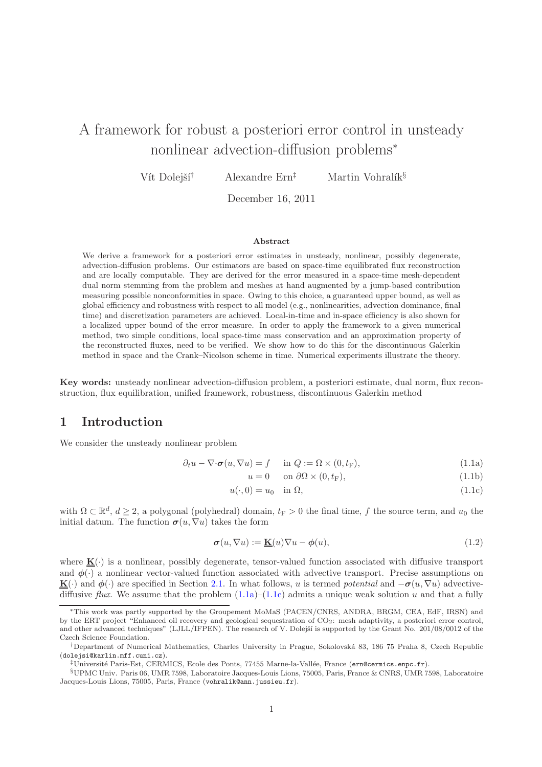# A framework for robust a posteriori error control in unsteady nonlinear advection-diffusion problems<sup>∗</sup>

Vít Dolejší<sup>†</sup> Alexandre Ern<sup>‡</sup> Martin Vohralík<sup>§</sup>

December 16, 2011

#### Abstract

We derive a framework for a posteriori error estimates in unsteady, nonlinear, possibly degenerate, advection-diffusion problems. Our estimators are based on space-time equilibrated flux reconstruction and are locally computable. They are derived for the error measured in a space-time mesh-dependent dual norm stemming from the problem and meshes at hand augmented by a jump-based contribution measuring possible nonconformities in space. Owing to this choice, a guaranteed upper bound, as well as global efficiency and robustness with respect to all model (e.g., nonlinearities, advection dominance, final time) and discretization parameters are achieved. Local-in-time and in-space efficiency is also shown for a localized upper bound of the error measure. In order to apply the framework to a given numerical method, two simple conditions, local space-time mass conservation and an approximation property of the reconstructed fluxes, need to be verified. We show how to do this for the discontinuous Galerkin method in space and the Crank–Nicolson scheme in time. Numerical experiments illustrate the theory.

Key words: unsteady nonlinear advection-diffusion problem, a posteriori estimate, dual norm, flux reconstruction, flux equilibration, unified framework, robustness, discontinuous Galerkin method

# 1 Introduction

We consider the unsteady nonlinear problem

$$
\partial_t u - \nabla \cdot \boldsymbol{\sigma}(u, \nabla u) = f \quad \text{in } Q := \Omega \times (0, t_F), \tag{1.1a}
$$

$$
u = 0 \qquad \text{on } \partial\Omega \times (0, t_{\text{F}}), \tag{1.1b}
$$

<span id="page-0-3"></span><span id="page-0-2"></span><span id="page-0-1"></span><span id="page-0-0"></span>
$$
u(\cdot,0) = u_0 \quad \text{in } \Omega,\tag{1.1c}
$$

with  $\Omega \subset \mathbb{R}^d$ ,  $d \geq 2$ , a polygonal (polyhedral) domain,  $t_F > 0$  the final time, f the source term, and  $u_0$  the initial datum. The function  $\sigma(u, \nabla u)$  takes the form

$$
\sigma(u, \nabla u) := \underline{\mathbf{K}}(u)\nabla u - \phi(u),\tag{1.2}
$$

where  $K(\cdot)$  is a nonlinear, possibly degenerate, tensor-valued function associated with diffusive transport and  $\phi(\cdot)$  a nonlinear vector-valued function associated with advective transport. Precise assumptions on  $\underline{\mathbf{K}}(\cdot)$  and  $\phi(\cdot)$  are specified in Section [2.1.](#page-2-0) In what follows, u is termed *potential* and  $-\sigma(u, \nabla u)$  advectivediffusive *flux*. We assume that the problem  $(1.1a)$ – $(1.1c)$  admits a unique weak solution u and that a fully

<sup>∗</sup>This work was partly supported by the Groupement MoMaS (PACEN/CNRS, ANDRA, BRGM, CEA, EdF, IRSN) and by the ERT project "Enhanced oil recovery and geological sequestration of CO2: mesh adaptivity, a posteriori error control, and other advanced techniques" (LJLL/IFPEN). The research of V. Dolejší is supported by the Grant No. 201/08/0012 of the Czech Science Foundation.

<sup>†</sup>Department of Numerical Mathematics, Charles University in Prague, Sokolovsk´a 83, 186 75 Praha 8, Czech Republic (dolejsi@karlin.mff.cuni.cz).

 $^{\ddagger}$ Université Paris-Est, CERMICS, Ecole des Ponts, 77455 Marne-la-Vallée, France (ern@cermics.enpc.fr).

<sup>§</sup>UPMC Univ. Paris 06, UMR 7598, Laboratoire Jacques-Louis Lions, 75005, Paris, France & CNRS, UMR 7598, Laboratoire Jacques-Louis Lions, 75005, Paris, France (vohralik@ann.jussieu.fr).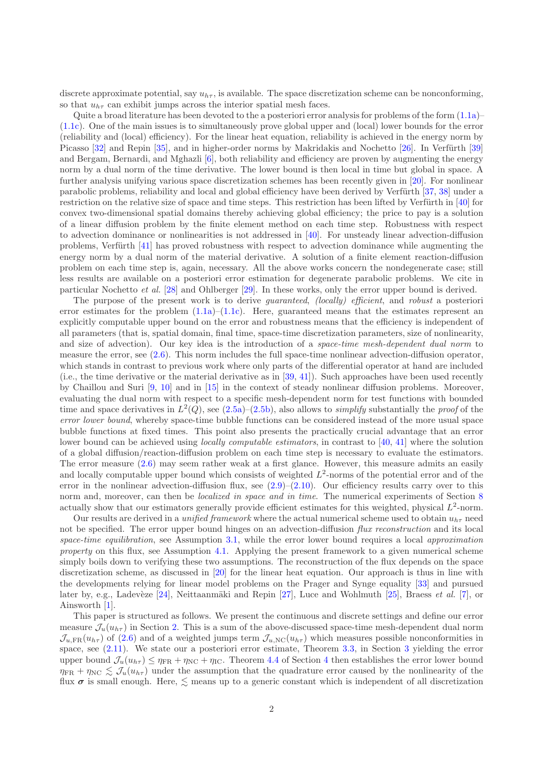discrete approximate potential, say  $u_{h\tau}$ , is available. The space discretization scheme can be nonconforming, so that  $u_{h\tau}$  can exhibit jumps across the interior spatial mesh faces.

Quite a broad literature has been devoted to the a posteriori error analysis for problems of the form [\(1.1a\)](#page-0-0)– [\(1.1c\)](#page-0-1). One of the main issues is to simultaneously prove global upper and (local) lower bounds for the error (reliability and (local) efficiency). For the linear heat equation, reliability is achieved in the energy norm by Picasso [\[32\]](#page-24-0) and Repin [\[35\]](#page-25-0), and in higher-order norms by Makridakis and Nochetto [\[26\]](#page-24-1). In Verfürth [\[39\]](#page-25-1) and Bergam, Bernardi, and Mghazli [\[6\]](#page-22-0), both reliability and efficiency are proven by augmenting the energy norm by a dual norm of the time derivative. The lower bound is then local in time but global in space. A further analysis unifying various space discretization schemes has been recently given in [\[20\]](#page-24-2). For nonlinear parabolic problems, reliability and local and global efficiency have been derived by Verfürth [\[37,](#page-25-2) [38\]](#page-25-3) under a restriction on the relative size of space and time steps. This restriction has been lifted by Verfürth in  $[40]$  for convex two-dimensional spatial domains thereby achieving global efficiency; the price to pay is a solution of a linear diffusion problem by the finite element method on each time step. Robustness with respect to advection dominance or nonlinearities is not addressed in [\[40\]](#page-25-4). For unsteady linear advection-diffusion problems, Verfürth [\[41\]](#page-25-5) has proved robustness with respect to advection dominance while augmenting the energy norm by a dual norm of the material derivative. A solution of a finite element reaction-diffusion problem on each time step is, again, necessary. All the above works concern the nondegenerate case; still less results are available on a posteriori error estimation for degenerate parabolic problems. We cite in particular Nochetto *et al.* [\[28\]](#page-24-3) and Ohlberger [\[29\]](#page-24-4). In these works, only the error upper bound is derived.

The purpose of the present work is to derive *guaranteed*, *(locally) efficient*, and *robust* a posteriori error estimates for the problem  $(1.1a)$ – $(1.1c)$ . Here, guaranteed means that the estimates represent an explicitly computable upper bound on the error and robustness means that the efficiency is independent of all parameters (that is, spatial domain, final time, space-time discretization parameters, size of nonlinearity, and size of advection). Our key idea is the introduction of a *space-time mesh-dependent dual norm* to measure the error, see [\(2.6\)](#page-4-0). This norm includes the full space-time nonlinear advection-diffusion operator, which stands in contrast to previous work where only parts of the differential operator at hand are included (i.e., the time derivative or the material derivative as in [\[39,](#page-25-1) [41\]](#page-25-5)). Such approaches have been used recently by Chaillou and Suri [\[9,](#page-23-0) [10\]](#page-23-1) and in [\[15\]](#page-23-2) in the context of steady nonlinear diffusion problems. Moreover, evaluating the dual norm with respect to a specific mesh-dependent norm for test functions with bounded time and space derivatives in  $L^2(Q)$ , see  $(2.5a)$ – $(2.5b)$ , also allows to *simplify* substantially the *proof* of the *error lower bound*, whereby space-time bubble functions can be considered instead of the more usual space bubble functions at fixed times. This point also presents the practically crucial advantage that an error lower bound can be achieved using *locally computable estimators*, in contrast to [\[40,](#page-25-4) [41\]](#page-25-5) where the solution of a global diffusion/reaction-diffusion problem on each time step is necessary to evaluate the estimators. The error measure [\(2.6\)](#page-4-0) may seem rather weak at a first glance. However, this measure admits an easily and locally computable upper bound which consists of weighted  $L^2$ -norms of the potential error and of the error in the nonlinear advection-diffusion flux, see  $(2.9)$ – $(2.10)$ . Our efficiency results carry over to this norm and, moreover, can then be *localized in space and in time*. The numerical experiments of Section [8](#page-15-0) actually show that our estimators generally provide efficient estimates for this weighted, physical  $L^2$ -norm.

Our results are derived in a *unified framework* where the actual numerical scheme used to obtain  $u_{h\tau}$  need not be specified. The error upper bound hinges on an advection-diffusion *flux reconstruction* and its local *space-time equilibration*, see Assumption [3.1,](#page-6-0) while the error lower bound requires a local *approximation property* on this flux, see Assumption [4.1.](#page-8-0) Applying the present framework to a given numerical scheme simply boils down to verifying these two assumptions. The reconstruction of the flux depends on the space discretization scheme, as discussed in [\[20\]](#page-24-2) for the linear heat equation. Our approach is thus in line with the developments relying for linear model problems on the Prager and Synge equality [\[33\]](#page-24-5) and pursued later by, e.g., Ladevèze [\[24\]](#page-24-6), Neittaanmäki and Repin [\[27\]](#page-24-7), Luce and Wohlmuth [\[25\]](#page-24-8), Braess *et al.* [\[7\]](#page-23-3), or Ainsworth [\[1\]](#page-22-1).

This paper is structured as follows. We present the continuous and discrete settings and define our error measure  $\mathcal{J}_u(u_{h\tau})$  in Section [2.](#page-2-1) This is a sum of the above-discussed space-time mesh-dependent dual norm  $\mathcal{J}_{u,\text{FR}}(u_{h\tau})$  of [\(2.6\)](#page-4-0) and of a weighted jumps term  $\mathcal{J}_{u,\text{NC}}(u_{h\tau})$  which measures possible nonconformities in space, see [\(2.11\)](#page-5-2). We state our a posteriori error estimate, Theorem [3.3,](#page-7-0) in Section [3](#page-6-1) yielding the error upper bound  $\mathcal{J}_u(u_{h\tau}) \leq \eta_{\text{FR}} + \eta_{\text{NC}} + \eta_{\text{IC}}$ . Theorem [4.4](#page-9-0) of Section [4](#page-7-1) then establishes the error lower bound  $\eta_{FR} + \eta_{NC} \lesssim \mathcal{J}_u(u_{h\tau})$  under the assumption that the quadrature error caused by the nonlinearity of the flux  $\sigma$  is small enough. Here,  $\leq$  means up to a generic constant which is independent of all discretization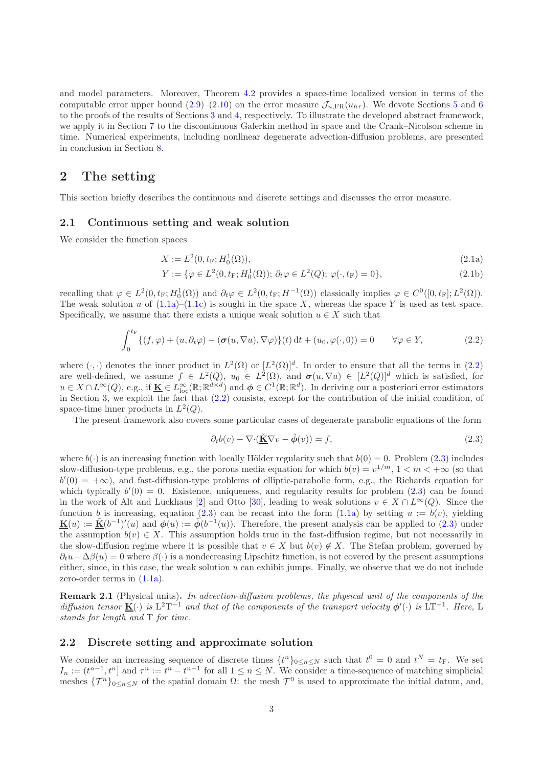and model parameters. Moreover, Theorem [4.2](#page-8-1) provides a space-time localized version in terms of the computable error upper bound  $(2.9)$ – $(2.10)$  on the error measure  $\mathcal{J}_{u,FR}(u_{h\tau})$ . We devote Sections [5](#page-9-1) and [6](#page-10-0) to the proofs of the results of Sections [3](#page-6-1) and [4,](#page-7-1) respectively. To illustrate the developed abstract framework, we apply it in Section [7](#page-12-0) to the discontinuous Galerkin method in space and the Crank–Nicolson scheme in time. Numerical experiments, including nonlinear degenerate advection-diffusion problems, are presented in conclusion in Section [8.](#page-15-0)

# <span id="page-2-1"></span>2 The setting

This section briefly describes the continuous and discrete settings and discusses the error measure.

### <span id="page-2-0"></span>2.1 Continuous setting and weak solution

We consider the function spaces

<span id="page-2-4"></span>
$$
X := L^{2}(0, t_{\mathcal{F}}; H_{0}^{1}(\Omega)), \tag{2.1a}
$$

$$
Y := \{ \varphi \in L^{2}(0, t_{F}; H_{0}^{1}(\Omega)); \partial_{t} \varphi \in L^{2}(Q); \varphi(\cdot, t_{F}) = 0 \},
$$
\n(2.1b)

recalling that  $\varphi \in L^2(0, t_F; H_0^1(\Omega))$  and  $\partial_t \varphi \in L^2(0, t_F; H^{-1}(\Omega))$  classically implies  $\varphi \in C^0([0, t_F]; L^2(\Omega))$ . The weak solution u of  $(1.1a)$ – $(1.1c)$  is sought in the space X, whereas the space Y is used as test space. Specifically, we assume that there exists a unique weak solution  $u \in X$  such that

<span id="page-2-2"></span>
$$
\int_0^{t_{\mathcal{F}}} \{ (f, \varphi) + (u, \partial_t \varphi) - (\boldsymbol{\sigma}(u, \nabla u), \nabla \varphi) \} (t) \, \mathrm{d}t + (u_0, \varphi(\cdot, 0)) = 0 \qquad \forall \varphi \in Y,
$$
\n(2.2)

where  $(\cdot, \cdot)$  denotes the inner product in  $L^2(\Omega)$  or  $[L^2(\Omega)]^d$ . In order to ensure that all the terms in [\(2.2\)](#page-2-2) are well-defined, we assume  $f \in L^2(Q)$ ,  $u_0 \in L^2(\Omega)$ , and  $\sigma(u, \nabla u) \in [L^2(Q)]^d$  which is satisfied, for  $u \in X \cap L^{\infty}(Q)$ , e.g., if  $\underline{\mathbf{K}} \in L^{\infty}_{loc}(\mathbb{R}; \mathbb{R}^{d \times d})$  and  $\phi \in C^{1}(\mathbb{R}; \mathbb{R}^{d})$ . In deriving our a posteriori error estimators in Section [3,](#page-6-1) we exploit the fact that [\(2.2\)](#page-2-2) consists, except for the contribution of the initial condition, of space-time inner products in  $L^2(Q)$ .

The present framework also covers some particular cases of degenerate parabolic equations of the form

<span id="page-2-3"></span>
$$
\partial_t b(v) - \nabla \cdot (\tilde{\mathbf{K}} \nabla v - \tilde{\phi}(v)) = f,\tag{2.3}
$$

where  $b(\cdot)$  is an increasing function with locally Hölder regularity such that  $b(0) = 0$ . Problem [\(2.3\)](#page-2-3) includes slow-diffusion-type problems, e.g., the porous media equation for which  $b(v) = v^{1/m}$ ,  $1 < m < +\infty$  (so that  $b'(0) = +\infty$ , and fast-diffusion-type problems of elliptic-parabolic form, e.g., the Richards equation for which typically  $b'(0) = 0$ . Existence, uniqueness, and regularity results for problem  $(2.3)$  can be found in the work of Alt and Luckhaus [\[2\]](#page-22-2) and Otto [\[30\]](#page-24-9), leading to weak solutions  $v \in X \cap L^{\infty}(Q)$ . Since the function b is increasing, equation [\(2.3\)](#page-2-3) can be recast into the form [\(1.1a\)](#page-0-0) by setting  $u := b(v)$ , yielding  $\underline{\mathbf{K}}(u) := \underline{\tilde{\mathbf{K}}}(b^{-1})'(u)$  and  $\phi(u) := \tilde{\phi}(b^{-1}(u))$ . Therefore, the present analysis can be applied to [\(2.3\)](#page-2-3) under the assumption  $b(v) \in X$ . This assumption holds true in the fast-diffusion regime, but not necessarily in the slow-diffusion regime where it is possible that  $v \in X$  but  $b(v) \notin X$ . The Stefan problem, governed by  $\partial_t u - \Delta \beta(u) = 0$  where  $\beta(\cdot)$  is a nondecreasing Lipschitz function, is not covered by the present assumptions either, since, in this case, the weak solution  $u$  can exhibit jumps. Finally, we observe that we do not include zero-order terms in [\(1.1a\)](#page-0-0).

Remark 2.1 (Physical units). *In advection-diffusion problems, the physical unit of the components of the*  $diffusion tensor \underline{\mathbf{K}}(\cdot)$  *is*  $L^2T^{-1}$  *and that of the components of the transport velocity*  $\phi'(\cdot)$  *is*  $LT^{-1}$ *. Here,* L *stands for length and* T *for time.*

### 2.2 Discrete setting and approximate solution

We consider an increasing sequence of discrete times  $\{t^n\}_{0 \leq n \leq N}$  such that  $t^0 = 0$  and  $t^N = t_F$ . We set  $I_n := (t^{n-1}, t^n]$  and  $\tau^n := t^n - t^{n-1}$  for all  $1 \leq n \leq N$ . We consider a time-sequence of matching simplicial meshes  $\{\mathcal{T}^n\}_{0\leq n\leq N}$  of the spatial domain  $\Omega$ : the mesh  $\mathcal{T}^0$  is used to approximate the initial datum, and,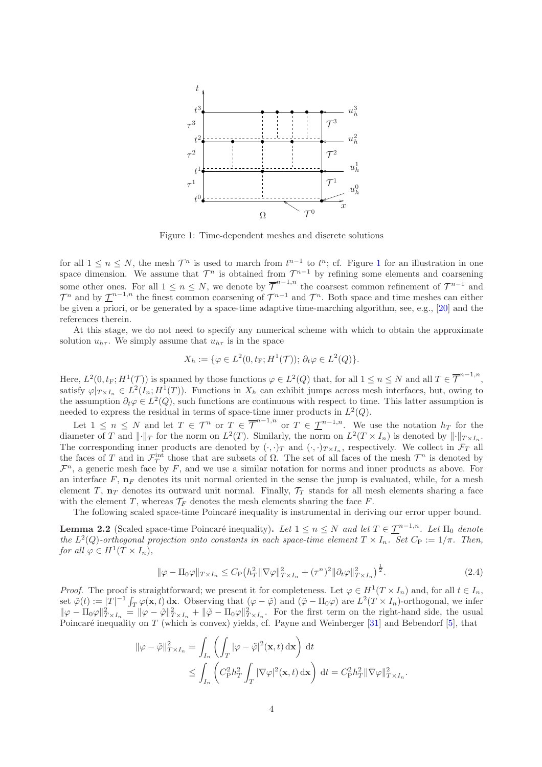

<span id="page-3-0"></span>Figure 1: Time-dependent meshes and discrete solutions

for all  $1 \leq n \leq N$  $1 \leq n \leq N$ , the mesh  $\mathcal{T}^n$  is used to march from  $t^{n-1}$  to  $t^n$ ; cf. Figure 1 for an illustration in one space dimension. We assume that  $\mathcal{T}^n$  is obtained from  $\mathcal{T}^{n-1}$  by refining some elements and coarsening some other ones. For all  $1 \le n \le N$ , we denote by  $\overline{\mathcal{T}}^{n-1,n}$  the coarsest common refinement of  $\mathcal{T}^{n-1}$  and  $\mathcal{T}^n$  and by  $\underline{\mathcal{T}}^{n-1,n}$  the finest common coarsening of  $\mathcal{T}^{n-1}$  and  $\mathcal{T}^n$ . Both space and time meshes can either be given a priori, or be generated by a space-time adaptive time-marching algorithm, see, e.g., [\[20\]](#page-24-2) and the references therein.

At this stage, we do not need to specify any numerical scheme with which to obtain the approximate solution  $u_{h\tau}$ . We simply assume that  $u_{h\tau}$  is in the space

$$
X_h := \{ \varphi \in L^2(0, t_F; H^1(\mathcal{T})); \, \partial_t \varphi \in L^2(Q) \}.
$$

Here,  $L^2(0, t_F; H^1(\mathcal{T}))$  is spanned by those functions  $\varphi \in L^2(Q)$  that, for all  $1 \leq n \leq N$  and all  $T \in \overline{\mathcal{T}}^{n-1,n}$ , satisfy  $\varphi|_{T\times I_n} \in L^2(I_n; H^1(T))$ . Functions in  $X_h$  can exhibit jumps across mesh interfaces, but, owing to the assumption  $\partial_t \varphi \in L^2(Q)$ , such functions are continuous with respect to time. This latter assumption is needed to express the residual in terms of space-time inner products in  $L^2(Q)$ .

Let  $1 \leq n \leq N$  and let  $T \in \mathcal{T}^n$  or  $T \in \overline{\mathcal{T}}^{n-1,n}$  or  $T \in \underline{\mathcal{T}}^{n-1,n}$ . We use the notation  $h_T$  for the diameter of T and  $\|\cdot\|_T$  for the norm on  $L^2(T)$ . Similarly, the norm on  $L^2(T \times I_n)$  is denoted by  $\|\cdot\|_{T\times I_n}$ . The corresponding inner products are denoted by  $(\cdot, \cdot)_T$  and  $(\cdot, \cdot)_{T \times I_n}$ , respectively. We collect in  $\mathcal{F}_T$  all the faces of T and in  $\mathcal{F}_T^{\text{int}}$  those that are subsets of  $\Omega$ . The set of all faces of the mesh  $\mathcal{T}^n$  is denoted by  $\mathcal{F}^n$ , a generic mesh face by  $F$ , and we use a similar notation for norms and inner products as above. For an interface  $F$ ,  $\mathbf{n}_F$  denotes its unit normal oriented in the sense the jump is evaluated, while, for a mesh element T,  $\mathbf{n}_T$  denotes its outward unit normal. Finally,  $\mathcal{T}_T$  stands for all mesh elements sharing a face with the element T, whereas  $\mathcal{T}_F$  denotes the mesh elements sharing the face F.

The following scaled space-time Poincaré inequality is instrumental in deriving our error upper bound.

**Lemma 2.2** (Scaled space-time Poincaré inequality). Let  $1 \le n \le N$  and let  $T \in \mathcal{T}^{n-1,n}$ . Let  $\Pi_0$  denote *the*  $L^2(Q)$ -orthogonal projection onto constants in each space-time element  $T \times I_n$ . Set  $C_P := 1/\pi$ . Then, *for all*  $\varphi \in H^1(T \times I_n)$ *,* 

<span id="page-3-1"></span>
$$
\|\varphi - \Pi_0 \varphi\|_{T \times I_n} \le C_P \left(h_T^2 \|\nabla \varphi\|_{T \times I_n}^2 + (\tau^n)^2 \|\partial_t \varphi\|_{T \times I_n}^2\right)^{\frac{1}{2}}.
$$
\n(2.4)

*Proof.* The proof is straightforward; we present it for completeness. Let  $\varphi \in H^1(T \times I_n)$  and, for all  $t \in I_n$ , set  $\tilde{\varphi}(t) := |T|^{-1} \int_T \varphi(\mathbf{x}, t) d\mathbf{x}$ . Observing that  $(\varphi - \tilde{\varphi})$  and  $(\tilde{\varphi} - \Pi_0 \varphi)$  are  $L^2(T \times I_n)$ -orthogonal, we infer  $\|\varphi - \Pi_0\varphi\|_{T\times I_n}^2 = \|\varphi - \tilde{\varphi}\|_{T\times I_n}^2 + \|\tilde{\varphi} - \Pi_0\varphi\|_{T\times I_n}^2$ . For the first term on the right-hand side, the usual Poincaré inequality on T (which is convex) yields, cf. Payne and Weinberger  $[31]$  and Bebendorf  $[5]$ , that

$$
\|\varphi - \tilde{\varphi}\|_{T \times I_n}^2 = \int_{I_n} \left( \int_T |\varphi - \tilde{\varphi}|^2(\mathbf{x}, t) d\mathbf{x} \right) dt
$$
  

$$
\leq \int_{I_n} \left( C_P^2 h_T^2 \int_T |\nabla \varphi|^2(\mathbf{x}, t) d\mathbf{x} \right) dt = C_P^2 h_T^2 \|\nabla \varphi\|_{T \times I_n}^2.
$$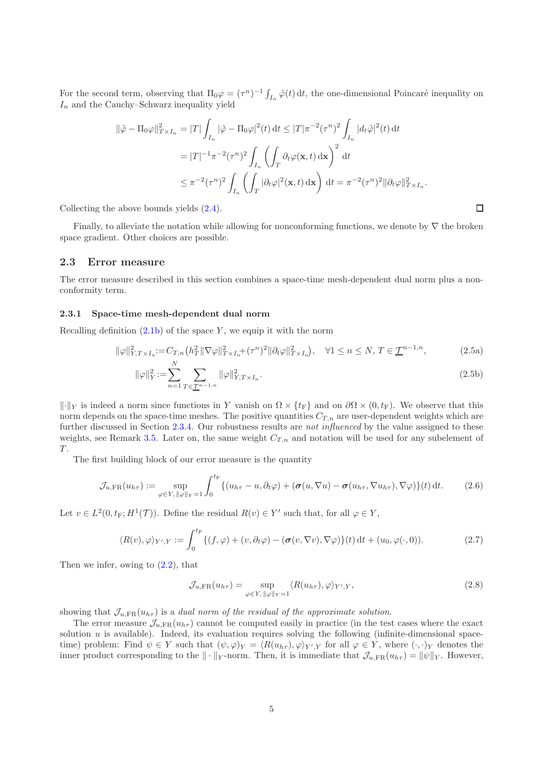For the second term, observing that  $\Pi_0 \varphi = (\tau^n)^{-1} \int_{I_n} \tilde{\varphi}(t) dt$ , the one-dimensional Poincaré inequality on  $I_n$  and the Cauchy–Schwarz inequality yield

$$
\|\tilde{\varphi} - \Pi_0 \varphi\|_{T \times I_n}^2 = |T| \int_{I_n} |\tilde{\varphi} - \Pi_0 \varphi|^2(t) dt \le |T|\pi^{-2} (\tau^n)^2 \int_{I_n} |d_t \tilde{\varphi}|^2(t) dt
$$
  

$$
= |T|^{-1} \pi^{-2} (\tau^n)^2 \int_{I_n} \left( \int_T \partial_t \varphi(\mathbf{x}, t) d\mathbf{x} \right)^2 dt
$$
  

$$
\le \pi^{-2} (\tau^n)^2 \int_{I_n} \left( \int_T |\partial_t \varphi|^2(\mathbf{x}, t) d\mathbf{x} \right) dt = \pi^{-2} (\tau^n)^2 ||\partial_t \varphi||_{T \times I_n}^2.
$$

Collecting the above bounds yields [\(2.4\)](#page-3-1).

Finally, to alleviate the notation while allowing for nonconforming functions, we denote by  $\nabla$  the broken space gradient. Other choices are possible.

### 2.3 Error measure

The error measure described in this section combines a space-time mesh-dependent dual norm plus a nonconformity term.

#### <span id="page-4-5"></span>2.3.1 Space-time mesh-dependent dual norm

Recalling definition  $(2.1b)$  of the space Y, we equip it with the norm

$$
\|\varphi\|_{Y,T\times I_n}^2 := C_{T,n} \left( h_T^2 \|\nabla \varphi\|_{T\times I_n}^2 + (\tau^n)^2 \|\partial_t \varphi\|_{T\times I_n}^2 \right), \quad \forall 1 \le n \le N, T \in \underline{\mathcal{T}}^{n-1,n},\tag{2.5a}
$$

$$
\|\varphi\|_{Y}^{2} := \sum_{n=1} \sum_{T \in \underline{\mathcal{T}}^{n-1,n}} \|\varphi\|_{Y,T \times I_n}^{2}.
$$
\n(2.5b)

 $\Vert \cdot \Vert_Y$  is indeed a norm since functions in Y vanish on  $\Omega \times \{t_F\}$  and on  $\partial \Omega \times (0, t_F)$ . We observe that this norm depends on the space-time meshes. The positive quantities  $C_{T,n}$  are user-dependent weights which are further discussed in Section [2.3.4.](#page-6-2) Our robustness results are *not influenced* by the value assigned to these weights, see Remark [3.5.](#page-7-2) Later on, the same weight  $C_{T,n}$  and notation will be used for any subelement of  $T$ .

The first building block of our error measure is the quantity

<span id="page-4-0"></span>
$$
\mathcal{J}_{u,\text{FR}}(u_{h\tau}) := \sup_{\varphi \in Y, \|\varphi\|_{Y} = 1} \int_{0}^{t_{\text{F}}} \{ (u_{h\tau} - u, \partial_{t}\varphi) + (\sigma(u, \nabla u) - \sigma(u_{h\tau}, \nabla u_{h\tau}), \nabla \varphi) \} (t) dt.
$$
 (2.6)

Let  $v \in L^2(0, t_F; H^1(\mathcal{T}))$ . Define the residual  $R(v) \in Y'$  such that, for all  $\varphi \in Y$ ,

<span id="page-4-3"></span>
$$
\langle R(v), \varphi \rangle_{Y',Y} := \int_0^{t_{\mathrm{F}}} \{ (f, \varphi) + (v, \partial_t \varphi) - (\sigma(v, \nabla v), \nabla \varphi) \} (t) \, \mathrm{d}t + (u_0, \varphi(\cdot, 0)). \tag{2.7}
$$

Then we infer, owing to  $(2.2)$ , that

<span id="page-4-4"></span>
$$
\mathcal{J}_{u,\text{FR}}(u_{h\tau}) = \sup_{\varphi \in Y, \|\varphi\|_{Y} = 1} \langle R(u_{h\tau}), \varphi \rangle_{Y',Y},
$$
\n(2.8)

showing that  $\mathcal{J}_{u,FR}(u_{h\tau})$  is a *dual norm of the residual of the approximate solution*.

The error measure  $\mathcal{J}_{u \text{ FR}}(u_{h\tau})$  cannot be computed easily in practice (in the test cases where the exact solution  $u$  is available). Indeed, its evaluation requires solving the following (infinite-dimensional spacetime) problem: Find  $\psi \in Y$  such that  $(\psi, \varphi)_Y = \langle R(u_{h\tau}), \varphi \rangle_{Y',Y}$  for all  $\varphi \in Y$ , where  $(\cdot, \cdot)_Y$  denotes the inner product corresponding to the  $\|\cdot\|_Y$ -norm. Then, it is immediate that  $\mathcal{J}_{u,FR}(u_{h\tau}) = \|\psi\|_Y$ . However,

<span id="page-4-2"></span><span id="page-4-1"></span> $\Box$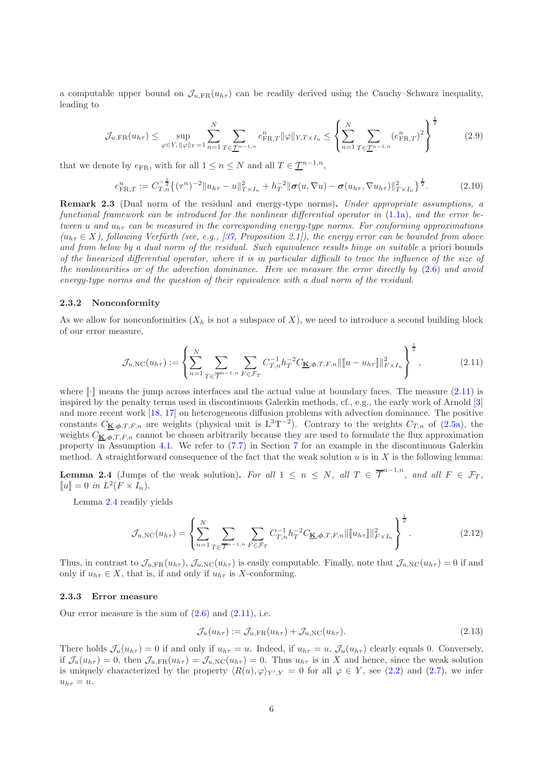a computable upper bound on  $\mathcal{J}_{u,FR}(u_{h\tau})$  can be readily derived using the Cauchy–Schwarz inequality, leading to

<span id="page-5-0"></span>
$$
\mathcal{J}_{u,\text{FR}}(u_{h\tau}) \le \sup_{\varphi \in Y, \|\varphi\|_{Y} = 1} \sum_{n=1}^{N} \sum_{T \in \mathcal{I}^{n-1,n}} e_{\text{FR},T}^{n} \|\varphi\|_{Y,T \times I_{n}} \le \left\{ \sum_{n=1}^{N} \sum_{T \in \mathcal{I}^{n-1,n}} (e_{\text{FR},T}^{n})^{2} \right\}^{\frac{1}{2}}
$$
(2.9)

1

that we denote by  $e_{\text{FR}}$ , with for all  $1 \leq n \leq N$  and all  $T \in \mathcal{I}^{n-1,n}$ ,

<span id="page-5-1"></span>
$$
e_{\text{FR},T}^{n} := C_{T,n}^{-\frac{1}{2}} \left\{ (\tau^{n})^{-2} \| u_{h\tau} - u \|_{T \times I_n}^2 + h_T^{-2} \| \sigma(u, \nabla u) - \sigma(u_{h\tau}, \nabla u_{h\tau}) \|_{T \times I_n}^2 \right\}^{\frac{1}{2}}.
$$
 (2.10)

Remark 2.3 (Dual norm of the residual and energy-type norms). *Under appropriate assumptions, a functional framework can be introduced for the nonlinear differential operator in* [\(1.1a\)](#page-0-0)*, and the error between u* and  $u_{h\tau}$  *can be measured in the corresponding energy-type norms. For conforming approximations*  $(u_{h\tau} \in X)$ , following Verfürth (see, e.g., [\[37,](#page-25-2) Proposition 2.1]), the energy error can be bounded from above and from below by a dual norm of the residual. Such equivalence results hinge on suitable a priori bounds *of the linearized differential operator, where it is in particular difficult to trace the influence of the size of the nonlinearities or of the advection dominance. Here we measure the error directly by* [\(2.6\)](#page-4-0) *and avoid energy-type norms and the question of their equivalence with a dual norm of the residual.*

#### 2.3.2 Nonconformity

As we allow for nonconformities  $(X_h)$  is not a subspace of X), we need to introduce a second building block of our error measure,

<span id="page-5-2"></span>
$$
\mathcal{J}_{u,\text{NC}}(u_{h\tau}) := \left\{ \sum_{n=1}^{N} \sum_{T \in \overline{\mathcal{T}}^{n-1,n}} \sum_{F \in \mathcal{F}_T} C_{T,n}^{-1} h_T^{-2} C_{\underline{\mathbf{K}},\phi,T,F,n} \| [u - u_{h\tau}] \|_{F \times I_n}^2 \right\}^{\frac{1}{2}},\tag{2.11}
$$

where  $\llbracket \cdot \rrbracket$  means the jump across interfaces and the actual value at boundary faces. The measure [\(2.11\)](#page-5-2) is inspired by the penalty terms used in discontinuous Galerkin methods, cf., e.g., the early work of Arnold [\[3\]](#page-22-4) and more recent work [\[18,](#page-24-11) [17\]](#page-24-12) on heterogeneous diffusion problems with advection dominance. The positive constants  $C_{\mathbf{K},\phi,T,F,n}$  are weights (physical unit is  $L^{3}T^{-2}$ ). Contrary to the weights  $C_{T,n}$  of [\(2.5a\)](#page-4-1), the weights  $C_{\mathbf{K},\phi,T,F,n}$  cannot be chosen arbitrarily because they are used to formulate the flux approximation property in Assumption [4.1.](#page-8-0) We refer to [\(7.7\)](#page-14-0) in Section [7](#page-12-0) for an example in the discontinuous Galerkin method. A straightforward consequence of the fact that the weak solution  $u$  is in X is the following lemma:

<span id="page-5-3"></span>**Lemma 2.4** (Jumps of the weak solution). For all  $1 \leq n \leq N$ , all  $T \in \overline{\mathcal{T}}^{n-1,n}$ , and all  $F \in \mathcal{F}_T$ ,  $\llbracket u \rrbracket = 0$  in  $L^2(F \times I_n)$ .

Lemma [2.4](#page-5-3) readily yields

<span id="page-5-5"></span>
$$
\mathcal{J}_{u,\text{NC}}(u_{h\tau}) = \left\{ \sum_{n=1}^{N} \sum_{T \in \overline{\mathcal{T}}^{n-1,n}} \sum_{F \in \mathcal{F}_T} C_{T,n}^{-1} h_T^{-2} C_{\underline{\mathbf{K}},\phi,T,F,n} \| [u_{h\tau} ] \|^2_{F \times I_n} \right\}^{\frac{1}{2}}.
$$
(2.12)

Thus, in contrast to  $\mathcal{J}_{u,FR}(u_{h\tau})$ ,  $\mathcal{J}_{u,NC}(u_{h\tau})$  is easily computable. Finally, note that  $\mathcal{J}_{u,NC}(u_{h\tau}) = 0$  if and only if  $u_{h\tau} \in X$ , that is, if and only if  $u_{h\tau}$  is X-conforming.

#### 2.3.3 Error measure

Our error measure is the sum of  $(2.6)$  and  $(2.11)$ , i.e.

<span id="page-5-4"></span>
$$
\mathcal{J}_u(u_{h\tau}) := \mathcal{J}_{u,\text{FR}}(u_{h\tau}) + \mathcal{J}_{u,\text{NC}}(u_{h\tau}).
$$
\n(2.13)

There holds  $\mathcal{J}_u(u_{h\tau}) = 0$  if and only if  $u_{h\tau} = u$ . Indeed, if  $u_{h\tau} = u$ ,  $\mathcal{J}_u(u_{h\tau})$  clearly equals 0. Conversely, if  $\mathcal{J}_u(u_{h\tau}) = 0$ , then  $\mathcal{J}_{u,FR}(u_{h\tau}) = \mathcal{J}_{u,NC}(u_{h\tau}) = 0$ . Thus  $u_{h\tau}$  is in X and hence, since the weak solution is uniquely characterized by the property  $\langle R(u), \varphi \rangle_{Y',Y} = 0$  for all  $\varphi \in Y$ , see [\(2.2\)](#page-2-2) and [\(2.7\)](#page-4-3), we infer  $u_{h\tau} = u.$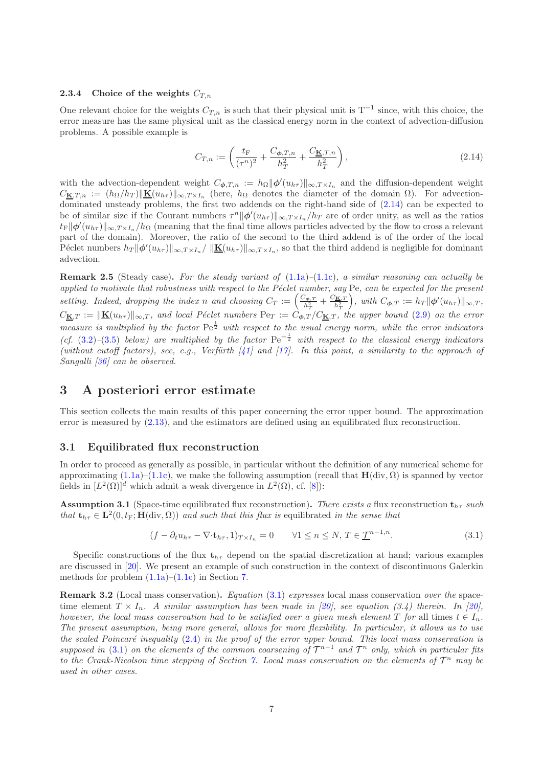### <span id="page-6-2"></span>2.3.4 Choice of the weights  $C_{T,n}$

One relevant choice for the weights  $C_{T,n}$  is such that their physical unit is T<sup>-1</sup> since, with this choice, the error measure has the same physical unit as the classical energy norm in the context of advection-diffusion problems. A possible example is

<span id="page-6-3"></span>
$$
C_{T,n} := \left(\frac{t_{\rm F}}{(\tau^n)^2} + \frac{C_{\phi,T,n}}{h_T^2} + \frac{C_{\underline{\mathbf{K}},T,n}}{h_T^2}\right),\tag{2.14}
$$

with the advection-dependent weight  $C_{\phi,T,n} := h_{\Omega} ||\phi'(u_{h\tau})||_{\infty,T \times I_n}$  and the diffusion-dependent weight  $C_{\mathbf{K},T,n} := (h_{\Omega}/h_T) ||\mathbf{K}(u_{h\tau})||_{\infty,T\times I_n}$  (here,  $h_{\Omega}$  denotes the diameter of the domain  $\Omega$ ). For advectiondominated unsteady problems, the first two addends on the right-hand side of [\(2.14\)](#page-6-3) can be expected to be of similar size if the Courant numbers  $\tau^{n} \|\phi'(u_{h\tau})\|_{\infty,T \times I_n}/h_T$  are of order unity, as well as the ratios  $t_F \|\phi'(u_{h\tau})\|_{\infty,T \times I_n}/h_\Omega$  (meaning that the final time allows particles advected by the flow to cross a relevant part of the domain). Moreover, the ratio of the second to the third addend is of the order of the local Péclet numbers  $h_T \|\phi'(u_{h\tau})\|_{\infty,T \times I_n}/\|\underline{\mathbf{K}}(u_{h\tau})\|_{\infty,T \times I_n}$ , so that the third addend is negligible for dominant advection.

Remark 2.5 (Steady case). *For the steady variant of* [\(1.1a\)](#page-0-0)*–*[\(1.1c\)](#page-0-1)*, a similar reasoning can actually be applied to motivate that robustness with respect to the P´eclet number, say* Pe*, can be expected for the present* setting. Indeed, dropping the index n and choosing  $C_T := \left(\frac{C_{\phi,T}}{h^2}\right)$  $\frac{C_{\boldsymbol{\phi},T}}{h_T^2}+\frac{C_{\mathbf{K},T}}{h_T^2}$  $\overline{h_T^2}$  $\Big), with C_{\phi,T} := h_T ||\phi'(u_{h\tau})||_{\infty,T},$  $C_{\mathbf{K},T} := \|\mathbf{K}(u_{h\tau})\|_{\infty,T}$ , and local Péclet numbers  $\text{Pe}_T := C_{\boldsymbol{\phi},T} / C_{\mathbf{K},T}$ , the upper bound [\(2.9\)](#page-5-0) on the error *measure is multiplied by the factor* Pe 1 <sup>2</sup> *with respect to the usual energy norm, while the error indicators*  $(cf. (3.2)–(3.5)$  $(cf. (3.2)–(3.5)$  $(cf. (3.2)–(3.5)$  $(cf. (3.2)–(3.5)$  *below)* are multiplied by the factor  $Pe^{-\frac{1}{2}}$  with respect to the classical energy indicators *(without cutoff factors), see, e.g., Verfürth* [\[41\]](#page-25-5) and [\[17\]](#page-24-12)*.* In this point, a similarity to the approach of *Sangalli [\[36\]](#page-25-6) can be observed.*

# <span id="page-6-1"></span>3 A posteriori error estimate

This section collects the main results of this paper concerning the error upper bound. The approximation error is measured by [\(2.13\)](#page-5-4), and the estimators are defined using an equilibrated flux reconstruction.

### 3.1 Equilibrated flux reconstruction

In order to proceed as generally as possible, in particular without the definition of any numerical scheme for approximating  $(1.1a)$ – $(1.1c)$ , we make the following assumption (recall that  $H(\text{div}, \Omega)$ ) is spanned by vector fields in  $[L^2(\Omega)]^d$  which admit a weak divergence in  $L^2(\Omega)$ , cf. [\[8\]](#page-23-4)):

<span id="page-6-0"></span>**Assumption 3.1** (Space-time equilibrated flux reconstruction). There exists a flux reconstruction  $\mathbf{t}_{h\tau}$  such *that*  $\mathbf{t}_{h\tau} \in \mathbf{L}^2(0, t_F; \mathbf{H}(\text{div}, \Omega))$  *and such that this flux is* equilibrated *in the sense that* 

<span id="page-6-4"></span>
$$
(f - \partial_t u_{h\tau} - \nabla \cdot \mathbf{t}_{h\tau}, 1)_{T \times I_n} = 0 \qquad \forall 1 \le n \le N, T \in \underline{T}^{n-1,n}.
$$
 (3.1)

Specific constructions of the flux  $t_{h\tau}$  depend on the spatial discretization at hand; various examples are discussed in [\[20\]](#page-24-2). We present an example of such construction in the context of discontinuous Galerkin methods for problem  $(1.1a)$ – $(1.1c)$  in Section [7.](#page-12-0)

Remark 3.2 (Local mass conservation). *Equation* [\(3.1\)](#page-6-4) *expresses* local mass conservation *over the* spacetime element  $T \times I_n$ . A similar assumption has been made in [\[20\]](#page-24-2), see equation (3.4) therein. In [20], *however, the local mass conservation had to be satisfied over a given mesh element*  $T$  *for* all times  $t \in I_n$ *. The present assumption, being more general, allows for more flexibility. In particular, it allows us to use the scaled Poincaré inequality* [\(2.4\)](#page-3-1) *in the proof of the error upper bound. This local mass conservation is supposed in* [\(3.1\)](#page-6-0) *on the elements of the common coarsening of*  $T^{n-1}$  *and*  $T^n$  *only, which in particular fits to the Crank-Nicolson time stepping of Section [7.](#page-12-0) Local mass conservation on the elements of*  $\mathcal{T}^n$  *may be used in other cases.*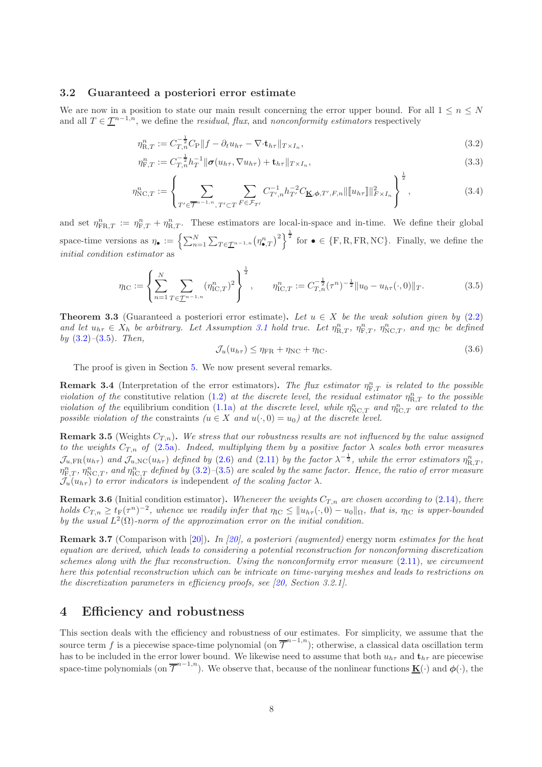### 3.2 Guaranteed a posteriori error estimate

We are now in a position to state our main result concerning the error upper bound. For all  $1 \leq n \leq N$ and all  $T \in \underline{\mathcal{T}}^{n-1,n}$ , we define the *residual*, *flux*, and *nonconformity estimators* respectively

$$
\eta_{\text{R},T}^{n} := C_{T,n}^{-\frac{1}{2}} C_{\text{P}} \| f - \partial_{t} u_{h\tau} - \nabla \cdot \mathbf{t}_{h\tau} \|_{T \times I_{n}}, \tag{3.2}
$$

$$
\eta_{\mathcal{F},T}^{n} := C_{T,n}^{-\frac{1}{2}} h_T^{-1} \| \sigma(u_{h\tau}, \nabla u_{h\tau}) + \mathbf{t}_{h\tau} \|_{T \times I_n},
$$
\n(3.3)

$$
\eta_{\text{NC},T}^n := \left\{ \sum_{T' \in \overline{\mathcal{T}}^{n-1,n}, T' \subset T} \sum_{F \in \mathcal{F}_{T'}} C_{T',n}^{-1} h_{T'}^{-2} C_{\underline{\mathbf{K}},\phi,T',F,n} \| [u_{h\tau}] \|_{F \times I_n}^2 \right\}^{\frac{1}{2}},\tag{3.4}
$$

and set  $\eta_{\text{FR},T}^n := \eta_{\text{F},T}^n + \eta_{\text{R},T}^n$ . These estimators are local-in-space and in-time. We define their global space-time versions as  $\eta_{\bullet} := \left\{ \sum_{n=1}^{N} \sum_{T \in \mathcal{I}^{n-1,n}} (\eta_{\bullet,T}^n)^2 \right\}^{\frac{1}{2}}$  for  $\bullet \in \{\text{F}, \text{R}, \text{FR}, \text{NC}\}.$  Finally, we define the *initial condition estimator* as

<span id="page-7-4"></span>
$$
\eta_{\rm IC} := \left\{ \sum_{n=1}^{N} \sum_{T \in \mathcal{I}^{n-1,n}} (\eta_{\rm IC,T}^n)^2 \right\}^{\frac{1}{2}}, \qquad \eta_{\rm IC,T}^n := C_{T,n}^{-\frac{1}{2}} (\tau^n)^{-\frac{1}{2}} \|u_0 - u_{h\tau}(\cdot,0)\|_T. \tag{3.5}
$$

<span id="page-7-0"></span>**Theorem 3.3** (Guaranteed a posteriori error estimate). Let  $u \in X$  be the weak solution given by [\(2.2\)](#page-2-2) and let  $u_{h\tau} \in X_h$  be arbitrary. Let Assumption [3.1](#page-6-0) hold true. Let  $\eta_{R,T}^n$ ,  $\eta_{R,T}^n$ ,  $\eta_{N\subset,T}^n$ , and  $\eta_{\text{IC}}$  be defined *by* [\(3.2\)](#page-7-3)*–*[\(3.5\)](#page-7-4)*. Then,*

<span id="page-7-5"></span><span id="page-7-3"></span>
$$
\mathcal{J}_u(u_{h\tau}) \le \eta_{\text{FR}} + \eta_{\text{NC}} + \eta_{\text{IC}}.\tag{3.6}
$$

The proof is given in Section [5.](#page-9-1) We now present several remarks.

**Remark 3.4** (Interpretation of the error estimators). The flux estimator  $\eta_{\text{F},T}^n$  is related to the possible *violation of the* constitutive relation [\(1.2\)](#page-0-2) *at the discrete level, the residual estimator*  $\eta_{R,T}^n$  *to the possible violation of the* equilibrium condition [\(1.1a\)](#page-0-0) *at the discrete level, while*  $\eta_{\text{NC},T}^n$  *and*  $\eta_{\text{IC},T}^n$  *are related to the possible violation of the* constraints  $(u \in X \text{ and } u(\cdot, 0) = u_0)$  at the discrete level.

<span id="page-7-2"></span>**Remark 3.5** (Weights  $C_{T,n}$ ). We stress that our robustness results are not influenced by the value assigned *to the weights*  $C_{T,n}$  *of* [\(2.5a\)](#page-4-1)*.* Indeed, multiplying them by a positive factor  $\lambda$  scales both error measures  $\mathcal{J}_{u,\text{FR}}(u_{h\tau})$  and  $\mathcal{J}_{u,\text{NC}}(u_{h\tau})$  defined by [\(2.6\)](#page-4-0) and [\(2.11\)](#page-5-2) by the factor  $\lambda^{-\frac{1}{2}}$ , while the error estimators  $\eta_{\text{R},T}^n$ ,  $\eta_{\mathrm{F},T}^n, \eta_{\mathrm{NC},T}^n,$  and  $\eta_{\mathrm{IC},T}^n$  defined by [\(3.2\)](#page-7-3)–[\(3.5\)](#page-7-4) are scaled by the same factor. Hence, the ratio of error measure  $\mathcal{J}_u(u_{h\tau})$  *to error indicators is* independent *of the scaling factor*  $\lambda$ *.* 

**Remark 3.6** (Initial condition estimator). *Whenever the weights*  $C_{T,n}$  *are chosen according to* [\(2.14\)](#page-6-3)*, there*  $\text{holds } C_{T,n} \geq t_{\text{F}}(\tau^{n})^{-2}$ , whence we readily infer that  $\eta_{\text{IC}} \leq ||u_{h\tau}(\cdot,0) - u_{0}||_{\Omega}$ , that is,  $\eta_{\text{IC}}$  is upper-bounded by the usual  $L^2(\Omega)$ -norm of the approximation error on the initial condition.

Remark 3.7 (Comparison with [\[20\]](#page-24-2)). *In [\[20\]](#page-24-2), a posteriori (augmented)* energy norm *estimates for the heat equation are derived, which leads to considering a potential reconstruction for nonconforming discretization schemes along with the flux reconstruction. Using the nonconformity error measure* [\(2.11\)](#page-5-2)*, we circumvent here this potential reconstruction which can be intricate on time-varying meshes and leads to restrictions on the discretization parameters in efficiency proofs, see [\[20,](#page-24-2) Section 3.2.1].*

# <span id="page-7-1"></span>4 Efficiency and robustness

This section deals with the efficiency and robustness of our estimates. For simplicity, we assume that the source term f is a piecewise space-time polynomial (on  $\overline{\mathcal{T}}^{n-1,n}$ ); otherwise, a classical data oscillation term has to be included in the error lower bound. We likewise need to assume that both  $u_{h\tau}$  and  $\mathbf{t}_{h\tau}$  are piecewise space-time polynomials (on  $\overline{\mathcal{T}}^{n-1,n}$ ). We observe that, because of the nonlinear functions  $\underline{\mathbf{K}}(\cdot)$  and  $\phi(\cdot)$ , the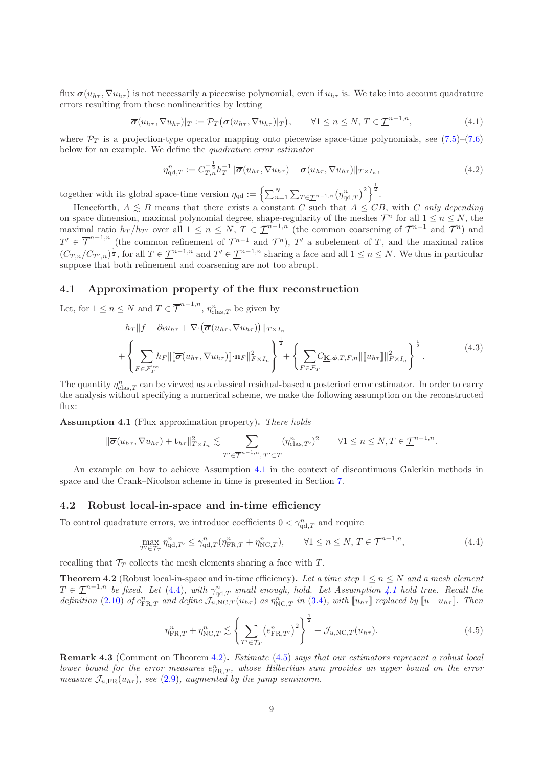flux  $\sigma(u_{h\tau}, \nabla u_{h\tau})$  is not necessarily a piecewise polynomial, even if  $u_{h\tau}$  is. We take into account quadrature errors resulting from these nonlinearities by letting

$$
\overline{\boldsymbol{\sigma}}(u_{h\tau}, \nabla u_{h\tau})|_{T} := \mathcal{P}_{T}(\boldsymbol{\sigma}(u_{h\tau}, \nabla u_{h\tau})|_{T}), \qquad \forall 1 \leq n \leq N, T \in \underline{T}^{n-1,n}, \tag{4.1}
$$

where  $P_T$  is a projection-type operator mapping onto piecewise space-time polynomials, see [\(7.5\)](#page-14-1)–[\(7.6\)](#page-14-2) below for an example. We define the *quadrature error estimator*

<span id="page-8-5"></span>
$$
\eta_{\mathrm{qd},T}^{n} := C_{T,n}^{-\frac{1}{2}} h_T^{-1} \|\overline{\sigma}(u_{h\tau}, \nabla u_{h\tau}) - \sigma(u_{h\tau}, \nabla u_{h\tau})\|_{T \times I_n},\tag{4.2}
$$

together with its global space-time version  $\eta_{\text{qd}} := \left\{ \sum_{n=1}^{N} \sum_{T \in \mathcal{I}^{n-1,n}} \left( \eta_{\text{qd},T}^n \right)^2 \right\}^{\frac{1}{2}}$ .

Henceforth,  $A \leq B$  means that there exists a constant C such that  $A \leq CB$ , with C *only depending* on space dimension, maximal polynomial degree, shape-regularity of the meshes  $\mathcal{T}^n$  for all  $1 \leq n \leq N$ , the maximal ratio  $h_T/h_{T'}$  over all  $1 \leq n \leq N$ ,  $T \in \mathcal{I}^{n-1,n}$  (the common coarsening of  $\mathcal{T}^{n-1}$  and  $\mathcal{T}^n$ ) and  $T' \in \overline{\mathcal{T}}^{n-1,n}$  (the common refinement of  $\mathcal{T}^{n-1}$  and  $\mathcal{T}^n$ ),  $T'$  a subelement of T, and the maximal ratios  $(C_{T,n}/C_{T',n})^{\frac{1}{2}}$ , for all  $T \in \mathcal{I}^{n-1,n}$  and  $T' \in \mathcal{I}^{n-1,n}$  sharing a face and all  $1 \leq n \leq N$ . We thus in particular suppose that both refinement and coarsening are not too abrupt.

### 4.1 Approximation property of the flux reconstruction

Let, for  $1 \leq n \leq N$  and  $T \in \overline{\mathcal{T}}^{n-1,n}$ ,  $\eta_{\text{clas},T}^n$  be given by

$$
h_T || f - \partial_t u_{h\tau} + \nabla \cdot (\overline{\sigma}(u_{h\tau}, \nabla u_{h\tau})) ||_{T \times I_n}
$$
  
+ 
$$
\left\{ \sum_{F \in \mathcal{F}_T^{\text{int}}} h_F || [\overline{\sigma}(u_{h\tau}, \nabla u_{h\tau})] \cdot \mathbf{n}_F ||_{F \times I_n}^2 \right\}^{\frac{1}{2}} + \left\{ \sum_{F \in \mathcal{F}_T} C_{\mathbf{K}, \phi, T, F, n} || [u_{h\tau}] ||_{F \times I_n}^2 \right\}^{\frac{1}{2}}.
$$
(4.3)

<span id="page-8-4"></span>The quantity  $\eta_{\text{clas},T}^n$  can be viewed as a classical residual-based a posteriori error estimator. In order to carry the analysis without specifying a numerical scheme, we make the following assumption on the reconstructed  $f_{\text{Huy}}$ 

<span id="page-8-0"></span>Assumption 4.1 (Flux approximation property). *There holds*

$$
\|\overline{\sigma}(u_{h\tau}, \nabla u_{h\tau}) + \mathbf{t}_{h\tau}\|_{T\times I_n}^2 \lesssim \sum_{T' \in \overline{\mathcal{T}}^{n-1,n}, T' \subset T} (\eta^n_{\text{clas},T'})^2 \qquad \forall 1 \leq n \leq N, T \in \underline{\mathcal{T}}^{n-1,n}.
$$

An example on how to achieve Assumption [4.1](#page-8-0) in the context of discontinuous Galerkin methods in space and the Crank–Nicolson scheme in time is presented in Section [7.](#page-12-0)

### 4.2 Robust local-in-space and in-time efficiency

To control quadrature errors, we introduce coefficients  $0 < \gamma_{\text{qd},T}^n$  and require

<span id="page-8-2"></span>
$$
\max_{T' \in \mathcal{T}_T} \eta_{\mathrm{qd},T'}^n \le \gamma_{\mathrm{qd},T}^n(\eta_{\mathrm{FR},T}^n + \eta_{\mathrm{NC},T}^n), \qquad \forall 1 \le n \le N, T \in \underline{\mathcal{T}}^{n-1,n},\tag{4.4}
$$

recalling that  $\mathcal{T}_T$  collects the mesh elements sharing a face with  $T$ .

<span id="page-8-1"></span>Theorem 4.2 (Robust local-in-space and in-time efficiency). Let a time step  $1 \le n \le N$  and a mesh element  $T \in \mathcal{I}^{n-1,n}$  be fixed. Let [\(4.4\)](#page-8-2), with  $\gamma_{\text{qd},T}^n$  small enough, hold. Let Assumption [4.1](#page-8-0) hold true. Recall the definition [\(2.10\)](#page-5-1) of  $e_{\text{FR},T}^n$  and define  $\mathcal{J}_{u,\text{NC},T}(u_{h\tau})$  as  $\eta_{\text{NC},T}^n$  in [\(3.4\)](#page-7-5), with  $\llbracket u_{h\tau} \rrbracket$  replaced by  $\llbracket u-u_{h\tau} \rrbracket$ . Then

<span id="page-8-3"></span>
$$
\eta_{\text{FR},T}^{n} + \eta_{\text{NC},T}^{n} \lesssim \left\{ \sum_{T' \in \mathcal{T}_{T}} \left( e_{\text{FR},T'}^{n} \right)^{2} \right\}^{\frac{1}{2}} + \mathcal{J}_{u,\text{NC},T}(u_{h\tau}). \tag{4.5}
$$

Remark 4.3 (Comment on Theorem [4.2\)](#page-8-1). *Estimate* [\(4.5\)](#page-8-3) *says that our estimators represent a robust local lower bound for the error measures*  $e_{\text{FR},T}^n$ , whose Hilbertian sum provides an upper bound on the error *measure*  $\mathcal{J}_{u,\text{FR}}(u_{h\tau})$ *, see* [\(2.9\)](#page-5-0)*, augmented by the jump seminorm.*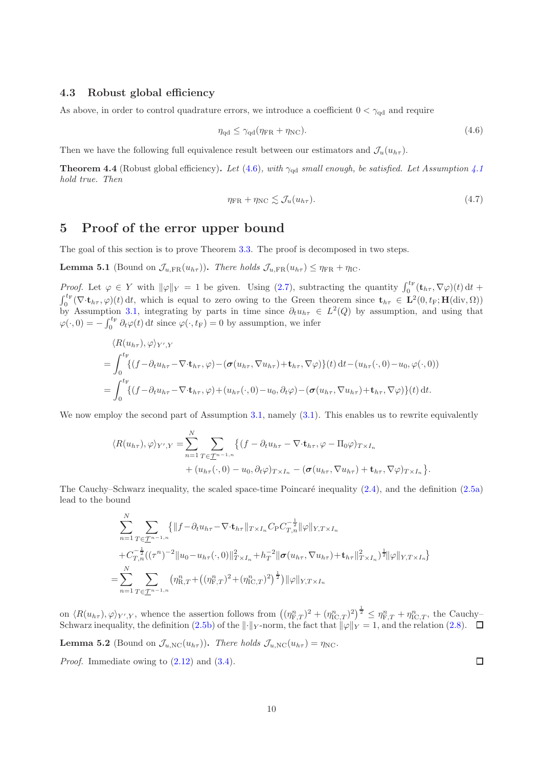### 4.3 Robust global efficiency

 $\mathbf{r}$ 

As above, in order to control quadrature errors, we introduce a coefficient  $0 < \gamma_{qd}$  and require

<span id="page-9-2"></span>
$$
\eta_{\rm qd} \le \gamma_{\rm qd} (\eta_{\rm FR} + \eta_{\rm NC}).\tag{4.6}
$$

Then we have the following full equivalence result between our estimators and  $\mathcal{J}_u(u_{h\tau})$ .

<span id="page-9-0"></span>**Theorem 4.4** (Robust global efficiency). Let [\(4.6\)](#page-9-2), with  $\gamma_{\text{ad}}$  small enough, be satisfied. Let Assumption [4.1](#page-8-0) *hold true. Then*

<span id="page-9-3"></span>
$$
\eta_{\rm FR} + \eta_{\rm NC} \lesssim \mathcal{J}_u(u_{h\tau}).\tag{4.7}
$$

# <span id="page-9-1"></span>5 Proof of the error upper bound

The goal of this section is to prove Theorem [3.3.](#page-7-0) The proof is decomposed in two steps.

**Lemma 5.1** (Bound on  $\mathcal{J}_{u,FR}(u_{h\tau})$ ). *There holds*  $\mathcal{J}_{u,FR}(u_{h\tau}) \leq \eta_{FR} + \eta_{IC}$ .

*Proof.* Let  $\varphi \in Y$  with  $\|\varphi\|_Y = 1$  be given. Using [\(2.7\)](#page-4-3), subtracting the quantity  $\int_0^{t_F} (\mathbf{t}_{h\tau}, \nabla \varphi)(t) dt +$  $\int_0^{t_F} (\nabla \cdot \mathbf{t}_{h\tau}, \varphi)(t) dt$ , which is equal to zero owing to the Green theorem since  $\mathbf{t}_{h\tau} \in \mathbf{L}^2(0, t_F; \mathbf{H}(\text{div}, \Omega))$ by Assumption [3.1,](#page-6-0) integrating by parts in time since  $\partial_t u_{h\tau} \in L^2(Q)$  by assumption, and using that  $\varphi(\cdot,0) = -\int_0^{t_F} \partial_t \varphi(t) dt$  since  $\varphi(\cdot,t_F) = 0$  by assumption, we infer

$$
\langle R(u_{h\tau}), \varphi \rangle_{Y',Y}
$$
\n
$$
= \int_0^{t_F} \{ (f - \partial_t u_{h\tau} - \nabla \cdot \mathbf{t}_{h\tau}, \varphi) - (\sigma(u_{h\tau}, \nabla u_{h\tau}) + \mathbf{t}_{h\tau}, \nabla \varphi) \} (t) dt - (u_{h\tau}(\cdot, 0) - u_0, \varphi(\cdot, 0))
$$
\n
$$
= \int_0^{t_F} \{ (f - \partial_t u_{h\tau} - \nabla \cdot \mathbf{t}_{h\tau}, \varphi) + (u_{h\tau}(\cdot, 0) - u_0, \partial_t \varphi) - (\sigma(u_{h\tau}, \nabla u_{h\tau}) + \mathbf{t}_{h\tau}, \nabla \varphi) \} (t) dt.
$$

We now employ the second part of Assumption [3.1,](#page-6-0) namely  $(3.1)$ . This enables us to rewrite equivalently

$$
\langle R(u_{h\tau}), \varphi \rangle_{Y',Y} = \sum_{n=1}^{N} \sum_{T \in \underline{\mathcal{T}}^{n-1,n}} \left\{ (f - \partial_t u_{h\tau} - \nabla \cdot \mathbf{t}_{h\tau}, \varphi - \Pi_0 \varphi)_{T \times I_n} \right. \\ \left. + (u_{h\tau}(\cdot, 0) - u_0, \partial_t \varphi)_{T \times I_n} - (\boldsymbol{\sigma}(u_{h\tau}, \nabla u_{h\tau}) + \mathbf{t}_{h\tau}, \nabla \varphi)_{T \times I_n} \right\}.
$$

The Cauchy–Schwarz inequality, the scaled space-time Poincaré inequality  $(2.4)$ , and the definition  $(2.5a)$ lead to the bound

$$
\sum_{n=1}^{N} \sum_{T \in \mathcal{I}^{n-1,n}} \{ ||f - \partial_t u_{h\tau} - \nabla \cdot \mathbf{t}_{h\tau}||_{T \times I_n} C_{\text{P}} C_{T,n}^{-\frac{1}{2}} ||\varphi||_{Y,T \times I_n} \n+ C_{T,n}^{-\frac{1}{2}}((\tau^n)^{-2} ||u_0 - u_{h\tau}(\cdot, 0)||_{T \times I_n}^2 + h_T^{-2} ||\boldsymbol{\sigma}(u_{h\tau}, \nabla u_{h\tau}) + \mathbf{t}_{h\tau}||_{T \times I_n}^2) \frac{1}{2} ||\varphi||_{Y,T \times I_n} \n= \sum_{n=1}^{N} \sum_{T \in \mathcal{I}^{n-1,n}} (\eta_{\text{R},T}^n + ((\eta_{\text{F},T}^n)^2 + (\eta_{\text{IC},T}^n)^2)^{\frac{1}{2}}) ||\varphi||_{Y,T \times I_n}
$$

on  $\langle R(u_{h\tau}), \varphi \rangle_{Y',Y}$ , whence the assertion follows from  $((\eta_{\text{F},T}^n)^2 + (\eta_{\text{IC},T}^n)^2)^{\frac{1}{2}} \leq \eta_{\text{F},T}^n + \eta_{\text{IC},T}^n$ , the Cauchy-Schwarz inequality, the definition [\(2.5b\)](#page-4-2) of the  $\|\cdot\|_Y$ -norm, the fact that  $\|\varphi\|_Y = 1$ , and the relation [\(2.8\)](#page-4-4).

**Lemma 5.2** (Bound on  $\mathcal{J}_{u,\text{NC}}(u_{h\tau})$ ). *There holds*  $\mathcal{J}_{u,\text{NC}}(u_{h\tau}) = \eta_{\text{NC}}$ .

*Proof.* Immediate owing to  $(2.12)$  and  $(3.4)$ .

 $\Box$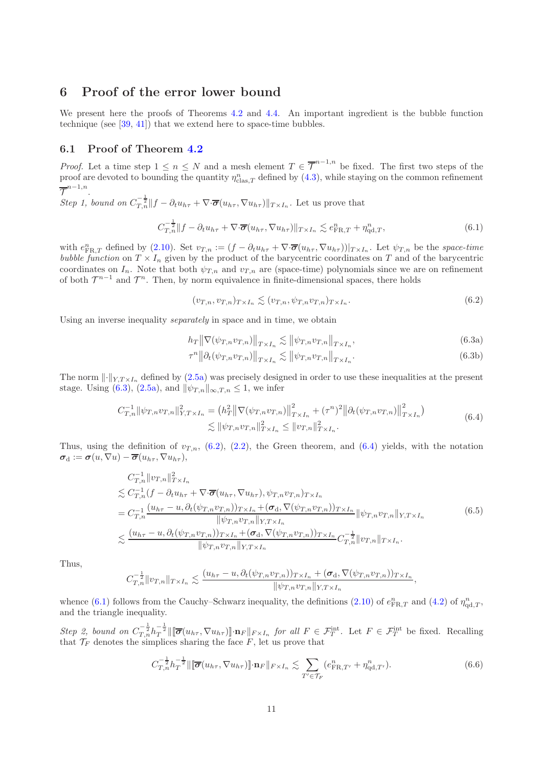# <span id="page-10-0"></span>6 Proof of the error lower bound

We present here the proofs of Theorems [4.2](#page-8-1) and [4.4.](#page-9-0) An important ingredient is the bubble function technique (see [\[39,](#page-25-1) [41\]](#page-25-5)) that we extend here to space-time bubbles.

### 6.1 Proof of Theorem [4.2](#page-8-1)

*Proof.* Let a time step  $1 \leq n \leq N$  and a mesh element  $T \in \overline{\mathcal{T}}^{n-1,n}$  be fixed. The first two steps of the proof are devoted to bounding the quantity  $\eta_{\text{clas},T}^n$  defined by [\(4.3\)](#page-8-4), while staying on the common refinement n−1,n .

 $\overline{\phantom{a}}$ *Step 1, bound on*  $C_{T,n}^{-\frac{1}{2}}||f - \partial_t u_{h\tau} + \nabla \cdot \overline{\sigma}(u_{h\tau}, \nabla u_{h\tau})||_{T \times I_n}$ . Let us prove that

<span id="page-10-4"></span>
$$
C_{T,n}^{-\frac{1}{2}} \|f - \partial_t u_{h\tau} + \nabla \cdot \overline{\sigma}(u_{h\tau}, \nabla u_{h\tau})\|_{T \times I_n} \lesssim e_{\text{FR},T}^n + \eta_{\text{qd},T}^n,
$$
\n(6.1)

with  $e_{\text{FR},T}^n$  defined by [\(2.10\)](#page-5-1). Set  $v_{T,n} := (f - \partial_t u_{h\tau} + \nabla \cdot \overline{\sigma}(u_{h\tau}, \nabla u_{h\tau}))|_{T \times I_n}$ . Let  $\psi_{T,n}$  be the *space-time bubble function* on  $T \times I_n$  given by the product of the barycentric coordinates on T and of the barycentric coordinates on  $I_n$ . Note that both  $\psi_{T,n}$  and  $v_{T,n}$  are (space-time) polynomials since we are on refinement of both  $\mathcal{T}^{n-1}$  and  $\mathcal{T}^n$ . Then, by norm equivalence in finite-dimensional spaces, there holds

<span id="page-10-2"></span><span id="page-10-1"></span>
$$
(v_{T,n}, v_{T,n})_{T \times I_n} \lesssim (v_{T,n}, \psi_{T,n} v_{T,n})_{T \times I_n}.
$$
\n
$$
(6.2)
$$

Using an inverse inequality *separately* in space and in time, we obtain

$$
h_T \|\nabla(\psi_{T,n} v_{T,n})\|_{T \times I_n} \lesssim \|\psi_{T,n} v_{T,n}\|_{T \times I_n},\tag{6.3a}
$$

$$
\tau^{n} \left\| \partial_{t} (\psi_{T,n} v_{T,n}) \right\|_{T \times I_{n}} \lesssim \left\| \psi_{T,n} v_{T,n} \right\|_{T \times I_{n}}.
$$
\n(6.3b)

The norm  $\|\cdot\|_{Y,T \times I_n}$  defined by [\(2.5a\)](#page-4-1) was precisely designed in order to use these inequalities at the present stage. Using [\(6.3\)](#page-10-1), [\(2.5a\)](#page-4-1), and  $\|\psi_{T,n}\|_{\infty,T,n} \leq 1$ , we infer

$$
C_{T,n}^{-1} \|\psi_{T,n} v_{T,n}\|_{Y,T \times I_n}^2 = \left(h_T^2 \|\nabla(\psi_{T,n} v_{T,n})\|_{T \times I_n}^2 + (\tau^n)^2 \|\partial_t(\psi_{T,n} v_{T,n})\|_{T \times I_n}^2\right) \n\lesssim \|\psi_{T,n} v_{T,n}\|_{T \times I_n}^2 \le \|v_{T,n}\|_{T \times I_n}^2.
$$
\n(6.4)

<span id="page-10-3"></span>Thus, using the definition of  $v_{T,n}$ , [\(6.2\)](#page-10-2), [\(2.2\)](#page-2-2), the Green theorem, and [\(6.4\)](#page-10-3) yields, with the notation  $\sigma_d := \sigma(u, \nabla u) - \overline{\sigma}(u_{h\tau}, \nabla u_{h\tau}),$ 

$$
C_{T,n}^{-1} \|v_{T,n}\|_{T\times I_n}^2 \n\lesssim C_{T,n}^{-1}(f - \partial_t u_{h\tau} + \nabla \cdot \overline{\sigma}(u_{h\tau}, \nabla u_{h\tau}), \psi_{T,n} v_{T,n})_{T\times I_n} = C_{T,n}^{-1} \frac{(u_{h\tau} - u, \partial_t(\psi_{T,n} v_{T,n}))_{T\times I_n} + (\sigma_d, \nabla(\psi_{T,n} v_{T,n}))_{T\times I_n}}{\|\psi_{T,n} v_{T,n}\|_{Y,T\times I_n}} \|\psi_{T,n} v_{T,n}\|_{Y,T\times I_n} \n\lesssim \frac{(u_{h\tau} - u, \partial_t(\psi_{T,n} v_{T,n}))_{T\times I_n} + (\sigma_d, \nabla(\psi_{T,n} v_{T,n}))_{T\times I_n}}{\|\psi_{T,n} v_{T,n}\|_{Y,T\times I_n}} C_{T,n}^{-\frac{1}{2}} \|v_{T,n}\|_{T\times I_n}.
$$
\n(6.5)

<span id="page-10-6"></span>Thus,

$$
C_{T,n}^{-\frac{1}{2}} \|v_{T,n}\|_{T\times I_n} \lesssim \frac{(u_{h\tau}-u,\partial_t(\psi_{T,n}v_{T,n}))_{T\times I_n} + (\sigma_d,\nabla(\psi_{T,n}v_{T,n}))_{T\times I_n}}{\|\psi_{T,n}v_{T,n}\|_{Y,T\times I_n}}
$$

whence [\(6.1\)](#page-10-4) follows from the Cauchy–Schwarz inequality, the definitions [\(2.10\)](#page-5-1) of  $e_{\text{FR},T}^n$  and [\(4.2\)](#page-8-5) of  $\eta_{\text{qd},T}^n$ , and the triangle inequality.

*Step 2, bound on*  $C_{T,n}^{-\frac{1}{2}}h_T^{-\frac{1}{2}} \|\llbracket \overline{\sigma}(u_{h\tau}, \nabla u_{h\tau}) \rrbracket \cdot \mathbf{n}_F \|_{F \times I_n}$  *for all*  $F \in \mathcal{F}_T^{\text{int}}$ . Let  $F \in \mathcal{F}_T^{\text{int}}$  be fixed. Recalling that  $\mathcal{T}_F$  denotes the simplices sharing the face  $F$ , let us prove that

<span id="page-10-5"></span>
$$
C_{T,n}^{-\frac{1}{2}}h_T^{-\frac{1}{2}}\|\[\overline{\boldsymbol{\sigma}}(u_{h\tau}, \nabla u_{h\tau})\] \cdot \mathbf{n}_F\|_{F \times I_n} \lesssim \sum_{T' \in \mathcal{T}_F} (e_{\text{FR},T'}^n + \eta_{\text{qd},T'}^n). \tag{6.6}
$$

<span id="page-10-7"></span>,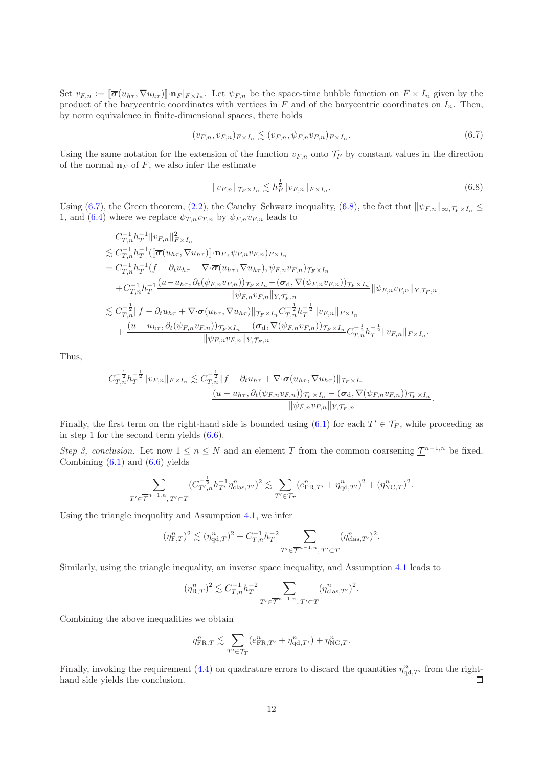Set  $v_{F,n} := [\overline{\sigma}(u_{h\tau}, \nabla u_{h\tau})] \cdot \mathbf{n}_F |_{F \times I_n}$ . Let  $\psi_{F,n}$  be the space-time bubble function on  $F \times I_n$  given by the product of the barycentric coordinates with vertices in  $F$  and of the barycentric coordinates on  $I_n$ . Then, by norm equivalence in finite-dimensional spaces, there holds

$$
(v_{F,n}, v_{F,n})_{F \times I_n} \lesssim (v_{F,n}, \psi_{F,n} v_{F,n})_{F \times I_n}.
$$
\n
$$
(6.7)
$$

Using the same notation for the extension of the function  $v_{F,n}$  onto  $\mathcal{T}_F$  by constant values in the direction of the normal  $\mathbf{n}_F$  of F, we also infer the estimate

<span id="page-11-1"></span><span id="page-11-0"></span>
$$
||v_{F,n}||_{\mathcal{T}_F \times I_n} \lesssim h_F^{\frac{1}{2}} ||v_{F,n}||_{F \times I_n}.
$$
\n(6.8)

Using [\(6.7\)](#page-11-0), the Green theorem, [\(2.2\)](#page-2-2), the Cauchy–Schwarz inequality, [\(6.8\)](#page-11-1), the fact that  $\|\psi_{F,n}\|_{\infty,\mathcal{T}_F\times I_n}\leq$ 1, and [\(6.4\)](#page-10-3) where we replace  $\psi_{T,n}v_{T,n}$  by  $\psi_{F,n}v_{F,n}$  leads to

$$
C_{T,n}^{-1}h_T^{-1}||v_{F,n}||_{F\times I_n}^2
$$
  
\n
$$
\lesssim C_{T,n}^{-1}h_T^{-1}([\overline{\sigma}(u_{h\tau}, \nabla u_{h\tau})]\cdot \mathbf{n}_F, \psi_{F,n}v_{F,n})_{F\times I_n}
$$
  
\n
$$
= C_{T,n}^{-1}h_T^{-1}(f - \partial_t u_{h\tau} + \nabla \cdot \overline{\sigma}(u_{h\tau}, \nabla u_{h\tau}), \psi_{F,n}v_{F,n})_{T_F\times I_n}
$$
  
\n
$$
+ C_{T,n}^{-1}h_T^{-1}\frac{(u - u_{h\tau}, \partial_t(\psi_{F,n}v_{F,n}))_{T_F\times I_n} - (\sigma_d, \nabla(\psi_{F,n}v_{F,n}))_{T_F\times I_n} ||\psi_{F,n}v_{F,n}||_{Y,T_F,n}}{||\psi_{F,n}v_{F,n}||_{Y,T_F,n}}
$$
  
\n
$$
\lesssim C_{T,n}^{-\frac{1}{2}}||f - \partial_t u_{h\tau} + \nabla \cdot \overline{\sigma}(u_{h\tau}, \nabla u_{h\tau})||_{T_F\times I_n} C_{T,n}^{-\frac{1}{2}}h_T^{-\frac{1}{2}}||v_{F,n}||_{F\times I_n}
$$
  
\n
$$
+ \frac{(u - u_{h\tau}, \partial_t(\psi_{F,n}v_{F,n}))_{T_F\times I_n} - (\sigma_d, \nabla(\psi_{F,n}v_{F,n}))_{T_F\times I_n} C_{T,n}^{-\frac{1}{2}}h_T^{-\frac{1}{2}}||v_{F,n}||_{F\times I_n}.
$$

Thus,

$$
C_{T,n}^{-\frac{1}{2}}h_T^{-\frac{1}{2}}\|v_{F,n}\|_{F\times I_n}\lesssim C_{T,n}^{-\frac{1}{2}}\|f-\partial_t u_{h\tau}+\nabla\cdot\overline{\sigma}(u_{h\tau},\nabla u_{h\tau})\|_{\mathcal{T}_F\times I_n} + \frac{(u-u_{h\tau},\partial_t(\psi_{F,n}v_{F,n}))_{T_F\times I_n}-(\sigma_d,\nabla(\psi_{F,n}v_{F,n}))_{T_F\times I_n}}{\|\psi_{F,n}v_{F,n}\|_{Y,T_F,n}}.
$$

Finally, the first term on the right-hand side is bounded using  $(6.1)$  for each  $T' \in \mathcal{T}_F$ , while proceeding as in step 1 for the second term yields [\(6.6\)](#page-10-5).

*Step 3, conclusion.* Let now  $1 \le n \le N$  and an element T from the common coarsening  $\mathcal{I}^{n-1,n}$  be fixed. Combining  $(6.1)$  and  $(6.6)$  yields

$$
\sum_{T'\in \overline{\mathcal{T}}^{n-1,n},\, T'\subset T}(C_{T',n}^{-\frac{1}{2}}h_{T'}^{-1}\eta_{\text{clas},T'}^n)^2\lesssim \sum_{T'\in \mathcal{T}_T}(e^n_{\text{FR},T'}+\eta_{\text{qd},T'}^n)^2+(\eta^n_{\text{NC},T})^2.
$$

Using the triangle inequality and Assumption [4.1,](#page-8-0) we infer

$$
(\eta_{\text{F},T}^n)^2 \lesssim (\eta_{\text{qd},T}^n)^2 + C_{T,n}^{-1}h_T^{-2} \sum_{T' \in \overline{\mathcal{T}}^{n-1,n}, \, T' \subset T} (\eta_{\text{clas},T'}^n)^2.
$$

Similarly, using the triangle inequality, an inverse space inequality, and Assumption [4.1](#page-8-0) leads to

$$
(\eta_{\text{R},T}^n)^2 \lesssim C_{T,n}^{-1} h_T^{-2} \sum_{T' \in \overline{\mathcal{T}}^{n-1,n}, T' \subset T} (\eta_{\text{clas},T'}^n)^2.
$$

Combining the above inequalities we obtain

$$
\eta_{\text{FR},T}^n \lesssim \sum_{T' \in \mathcal{T}_T} (e_{\text{FR},T'}^n + \eta_{\text{qd},T'}^n) + \eta_{\text{NC},T}^n.
$$

Finally, invoking the requirement [\(4.4\)](#page-8-2) on quadrature errors to discard the quantities  $\eta_{\rm qd,\it T'}^n$  from the righthand side yields the conclusion. □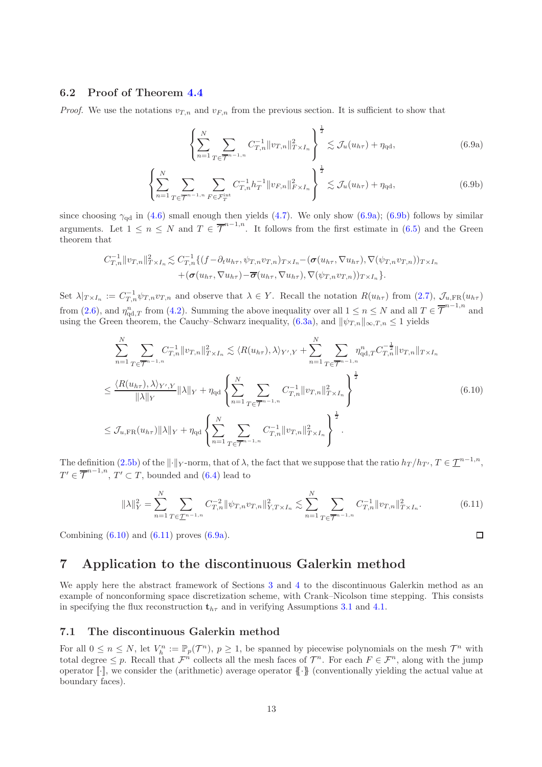### 6.2 Proof of Theorem [4.4](#page-9-0)

*Proof.* We use the notations  $v_{T,n}$  and  $v_{F,n}$  from the previous section. It is sufficient to show that

<span id="page-12-2"></span><span id="page-12-1"></span>
$$
\left\{\sum_{n=1}^{N} \sum_{T \in \overline{\mathcal{T}}^{n-1,n}} C_{T,n}^{-1} \|v_{T,n}\|_{T \times I_n}^2 \right\}^{\frac{1}{2}} \lesssim \mathcal{J}_u(u_{h\tau}) + \eta_{\text{qd}}, \tag{6.9a}
$$

$$
\left\{\sum_{n=1}^{N} \sum_{T \in \overline{\mathcal{T}}^{n-1,n}} \sum_{F \in \mathcal{F}_T^{\text{int}}} C_{T,n}^{-1} h_T^{-1} ||v_{F,n}||_{F \times I_n}^2 \right\}^{\frac{1}{2}} \lesssim \mathcal{J}_u(u_{h\tau}) + \eta_{\text{qd}},\tag{6.9b}
$$

since choosing  $\gamma_{\text{qd}}$  in [\(4.6\)](#page-9-2) small enough then yields [\(4.7\)](#page-9-3). We only show [\(6.9a\)](#page-12-1); [\(6.9b\)](#page-12-2) follows by similar arguments. Let  $1 \leq n \leq N$  and  $T \in \overline{\mathcal{T}}^{n-1,n}$ . It follows from the first estimate in [\(6.5\)](#page-10-6) and the Green theorem that

$$
C_{T,n}^{-1}||v_{T,n}||_{T\times I_n}^2 \lesssim C_{T,n}^{-1}\{(f-\partial_t u_{h\tau}, \psi_{T,n}v_{T,n})_{T\times I_n}-(\boldsymbol{\sigma}(u_{h\tau}, \nabla u_{h\tau}), \nabla(\psi_{T,n}v_{T,n}))_{T\times I_n}+(\boldsymbol{\sigma}(u_{h\tau}, \nabla u_{h\tau})-\boldsymbol{\overline{\sigma}}(u_{h\tau}, \nabla u_{h\tau}), \nabla(\psi_{T,n}v_{T,n})_{T\times I_n}\}.
$$

Set  $\lambda|_{T\times I_n} := C_{T,n}^{-1} \psi_{T,n} v_{T,n}$  and observe that  $\lambda \in Y$ . Recall the notation  $R(u_{h\tau})$  from [\(2.7\)](#page-4-3),  $\mathcal{J}_{u,\text{FR}}(u_{h\tau})$ from [\(2.6\)](#page-4-0), and  $\eta_{\text{qd},T}^n$  from [\(4.2\)](#page-8-5). Summing the above inequality over all  $1 \leq n \leq N$  and all  $T \in \overline{\mathcal{T}}^{n-1,n}$  and using the Green theorem, the Cauchy–Schwarz inequality, [\(6.3a\)](#page-10-7), and  $\|\psi_{T,n}\|_{\infty,T,n} \leq 1$  yields

$$
\sum_{n=1}^{N} \sum_{T \in \overline{\mathcal{T}}^{n-1,n}} C_{T,n}^{-1} \|v_{T,n}\|_{T \times I_n}^2 \lesssim \langle R(u_{h\tau}), \lambda \rangle_{Y',Y} + \sum_{n=1}^{N} \sum_{T \in \overline{\mathcal{T}}^{n-1,n}} \eta_{\text{qd},T}^n C_{T,n}^{-\frac{1}{2}} \|v_{T,n}\|_{T \times I_n}
$$
\n
$$
\leq \frac{\langle R(u_{h\tau}), \lambda \rangle_{Y',Y}}{\|\lambda\|_{Y}} \|\lambda\|_{Y} + \eta_{\text{qd}} \left\{ \sum_{n=1}^{N} \sum_{T \in \overline{\mathcal{T}}^{n-1,n}} C_{T,n}^{-1} \|v_{T,n}\|_{T \times I_n}^2 \right\}^{\frac{1}{2}}
$$
\n
$$
\leq \mathcal{J}_{u,\text{FR}}(u_{h\tau}) \|\lambda\|_{Y} + \eta_{\text{qd}} \left\{ \sum_{n=1}^{N} \sum_{T \in \overline{\mathcal{T}}^{n-1,n}} C_{T,n}^{-1} \|v_{T,n}\|_{T \times I_n}^2 \right\}^{\frac{1}{2}}.
$$
\n
$$
(6.10)
$$

The definition [\(2.5b\)](#page-4-2) of the  $\|\cdot\|_Y$ -norm, that of  $\lambda$ , the fact that we suppose that the ratio  $h_T/h_{T'}$ ,  $T \in \underline{\mathcal{T}}^{n-1,n}$ ,  $T' \in \overline{\mathcal{T}}^{n-1,n}$ ,  $T' \subset T$ , bounded and  $(6.4)$  lead to

<span id="page-12-4"></span>
$$
\|\lambda\|_{Y}^{2} = \sum_{n=1}^{N} \sum_{T \in \mathcal{I}^{n-1,n}} C_{T,n}^{-2} \|\psi_{T,n} v_{T,n}\|_{Y,T \times I_n}^{2} \lesssim \sum_{n=1}^{N} \sum_{T \in \overline{\mathcal{I}}^{n-1,n}} C_{T,n}^{-1} \|v_{T,n}\|_{Y \times I_n}^{2}.
$$
 (6.11)

Combining  $(6.10)$  and  $(6.11)$  proves  $(6.9a)$ .

# <span id="page-12-0"></span>7 Application to the discontinuous Galerkin method

We apply here the abstract framework of Sections [3](#page-6-1) and [4](#page-7-1) to the discontinuous Galerkin method as an example of nonconforming space discretization scheme, with Crank–Nicolson time stepping. This consists in specifying the flux reconstruction  $t_{h\tau}$  and in verifying Assumptions [3.1](#page-6-0) and [4.1.](#page-8-0)

### 7.1 The discontinuous Galerkin method

For all  $0 \leq n \leq N$ , let  $V_h^n := \mathbb{P}_p(\mathcal{T}^n)$ ,  $p \geq 1$ , be spanned by piecewise polynomials on the mesh  $\mathcal{T}^n$  with total degree  $\leq p$ . Recall that  $\mathcal{F}^n$  collects all the mesh faces of  $\mathcal{T}^n$ . For each  $F \in \mathcal{F}^n$ , along with the jump operator  $\lceil \cdot \rceil$ , we consider the (arithmetic) average operator  $\lceil \cdot \rceil$  (conventionally yielding the actual value at boundary faces).

<span id="page-12-3"></span> $\Box$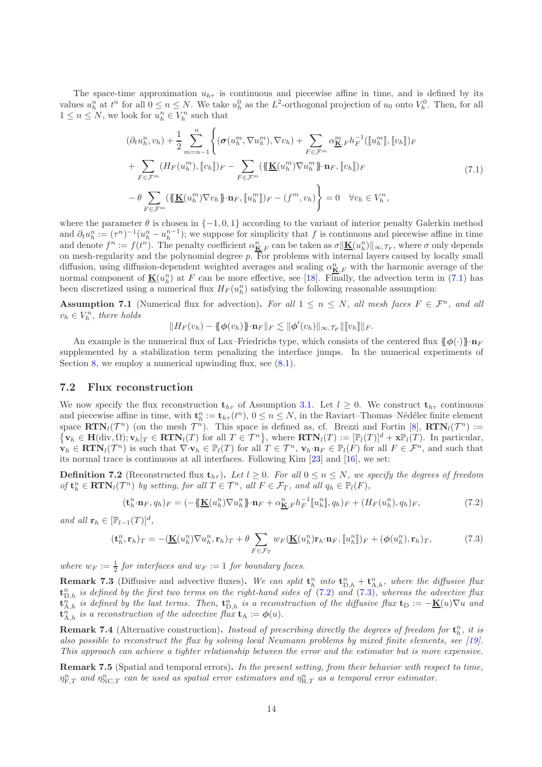The space-time approximation  $u_{h\tau}$  is continuous and piecewise affine in time, and is defined by its values  $u_h^n$  at  $t^n$  for all  $0 \le n \le N$ . We take  $u_h^0$  as the  $L^2$ -orthogonal projection of  $u_0$  onto  $V_h^0$ . Then, for all  $1 \leq n \leq N$ , we look for  $u_h^n \in V_h^n$  such that

$$
(\partial_t u_h^n, v_h) + \frac{1}{2} \sum_{m=n-1}^n \left\{ (\sigma(u_h^m, \nabla u_h^m), \nabla v_h) + \sum_{F \in \mathcal{F}^m} \alpha_{\underline{\mathbf{K}}, F}^m h_F^{-1}([\![u_h^m]\!], [\![v_h]\!])_F + \sum_{F \in \mathcal{F}^m} (H_F(u_h^m), [\![v_h]\!])_F - \sum_{F \in \mathcal{F}^m} (\{\underline{\mathbf{K}}(u_h^m) \nabla u_h^m\} \cdot \mathbf{n}_F, [\![v_h]\!])_F - \theta \sum_{F \in \mathcal{F}^m} (\{\{\underline{\mathbf{K}}(u_h^m) \nabla v_h\} \cdot \mathbf{n}_F, [\![u_h^m]\!])_F - (f^m, v_h) \right\} = 0 \quad \forall v_h \in V_h^n,
$$
\n(7.1)

<span id="page-13-0"></span>where the parameter  $\theta$  is chosen in  $\{-1, 0, 1\}$  according to the variant of interior penalty Galerkin method and  $\partial_t u_h^n := (\tau^n)^{-1} (u_h^n - u_h^{n-1})$ ; we suppose for simplicity that f is continuous and piecewise affine in time and denote  $f^n := f(t^n)$ . The penalty coefficient  $\alpha_{\underline{\mathbf{K}}},F$  can be taken as  $\sigma\|\underline{\mathbf{K}}(u_h^n)\|_{\infty,\mathcal{T}_F}$ , where  $\sigma$  only depends on mesh-regularity and the polynomial degree  $p$ . For problems with internal layers caused by locally small diffusion, using diffusion-dependent weighted averages and scaling  $\alpha_{\mathbf{K},F}^n$  with the harmonic average of the normal component of  $\underline{\mathbf{K}}(u_h^n)$  at F can be more effective, see [\[18\]](#page-24-11). Finally, the advection term in [\(7.1\)](#page-13-0) has been discretized using a numerical flux  $H_F(u_h^n)$  satisfying the following reasonable assumption:

<span id="page-13-4"></span>**Assumption 7.1** (Numerical flux for advection). For all  $1 \le n \le N$ , all mesh faces  $F \in \mathcal{F}^n$ , and all  $v_h \in V_h^n$ , there holds

$$
||H_F(v_h) - \{\!\!\{\phi(v_h)\}\!\!\} \cdot \! \mathbf{n}_F||_F \lesssim ||\phi'(v_h)||_{\infty, \mathcal{T}_F} ||[v_h]||_F.
$$

An example is the numerical flux of Lax–Friedrichs type, which consists of the centered flux  $\{\phi(\cdot)\}\cdot n_F$ supplemented by a stabilization term penalizing the interface jumps. In the numerical experiments of Section [8,](#page-15-0) we employ a numerical upwinding flux, see  $(8.1)$ .

### <span id="page-13-3"></span>7.2 Flux reconstruction

We now specify the flux reconstruction  $t_{h\tau}$  of Assumption [3.1.](#page-6-0) Let  $l \geq 0$ . We construct  $t_{h\tau}$  continuous and piecewise affine in time, with  $\mathbf{t}_h^n := \mathbf{t}_{h\tau}(t^n)$ ,  $0 \le n \le N$ , in the Raviart–Thomas–Nédélec finite element space  $\mathbf{RTN}_l(\mathcal{T}^n)$  (on the mesh  $\mathcal{T}^n$ ). This space is defined as, cf. Brezzi and Fortin [\[8\]](#page-23-4),  $\mathbf{RTN}_l(\mathcal{T}^n) :=$  $\{ \mathbf{v}_h \in \mathbf{H}(\text{div}, \Omega); \mathbf{v}_h|_T \in \mathbf{RTN}_l(T) \text{ for all } T \in \mathcal{T}^n \}, \text{ where } \mathbf{RTN}_l(T) := [\mathbb{P}_l(T)]^d + \mathbf{x} \mathbb{P}_l(T)$ . In particular,  $\mathbf{v}_h \in \mathbf{RTN}_l(\mathcal{T}^n)$  is such that  $\nabla \cdot \mathbf{v}_h \in \mathbb{P}_l(T)$  for all  $T \in \mathcal{T}^n$ ,  $\mathbf{v}_h \cdot \mathbf{n}_F \in \mathbb{P}_l(F)$  for all  $F \in \mathcal{F}^n$ , and such that its normal trace is continuous at all interfaces. Following Kim [\[23\]](#page-24-13) and [\[16\]](#page-24-14), we set:

**Definition 7.2** (Reconstructed flux  $t_{h\tau}$ ). Let  $l \geq 0$ . For all  $0 \leq n \leq N$ , we specify the degrees of freedom *of*  $\mathbf{t}_h^n \in \mathbf{RTN}_l(\mathcal{T}^n)$  *by setting, for all*  $T \in \mathcal{T}^n$ *, all*  $F \in \mathcal{F}_T$ *, and all*  $q_h \in \mathbb{P}_l(F)$ *,* 

<span id="page-13-2"></span><span id="page-13-1"></span>
$$
(\mathbf{t}_h^n \cdot \mathbf{n}_F, q_h)_F = \left( -\left\{ \mathbf{\underline{K}}(u_h^n) \nabla u_h^n \right\} \cdot \mathbf{n}_F + \alpha_{\mathbf{\underline{K}}, F}^n h_F^{-1} [u_h^n], q_h \right)_F + \left( H_F(u_h^n), q_h \right)_F,\tag{7.2}
$$

*and all*  $\mathbf{r}_h \in [\mathbb{P}_{l-1}(T)]^d$ ,

$$
(\mathbf{t}_h^n, \mathbf{r}_h)_T = -(\underline{\mathbf{K}}(u_h^n) \nabla u_h^n, \mathbf{r}_h)_T + \theta \sum_{F \in \mathcal{F}_T} w_F(\underline{\mathbf{K}}(u_h^n) \mathbf{r}_h \cdot \mathbf{n}_F, [\![u_h^n]\!])_F + (\phi(u_h^n), \mathbf{r}_h)_T,\tag{7.3}
$$

where  $w_F := \frac{1}{2}$  for interfaces and  $w_F := 1$  for boundary faces.

**Remark 7.3** (Diffusive and advective fluxes). We can split  $\mathbf{t}_h^n$  into  $\mathbf{t}_{D,h}^n + \mathbf{t}_{A,h}^n$ , where the diffusive flux  $\mathbf{t}_{\mathrm{D},h}^{n}$  *is defined by the first two terms on the right-hand sides of* [\(7.2\)](#page-13-1) *and* [\(7.3\)](#page-13-2)*, whereas the advective flux*  $\mathbf{t}_{\mathrm{A},h}^{n}$  is defined by the last terms. Then,  $\mathbf{t}_{\mathrm{D},h}^{n}$  is a reconstruction of the diffusive flux  $\mathbf{t}_{\mathrm{D}} := -\underline{\mathbf{K}}(u)\nabla u$  and  $\mathbf{t}_{\mathrm{A},h}^{n}$  *is a reconstruction of the advective flux*  $\mathbf{t}_{\mathrm{A}} := \boldsymbol{\phi}(u)$ *.* 

**Remark 7.4** (Alternative construction). Instead of prescribing directly the degrees of freedom for  $\mathbf{t}_h^n$ , it is *also possible to reconstruct the flux by solving local Neumann problems by mixed finite elements, see [\[19\]](#page-24-15). This approach can achieve a tighter relationship between the error and the estimator but is more expensive.*

Remark 7.5 (Spatial and temporal errors). *In the present setting, from their behavior with respect to time,*  $\eta_{\text{F},T}^n$  and  $\eta_{\text{NC},T}^n$  can be used as spatial error estimators and  $\eta_{\text{R},T}^n$  as a temporal error estimator.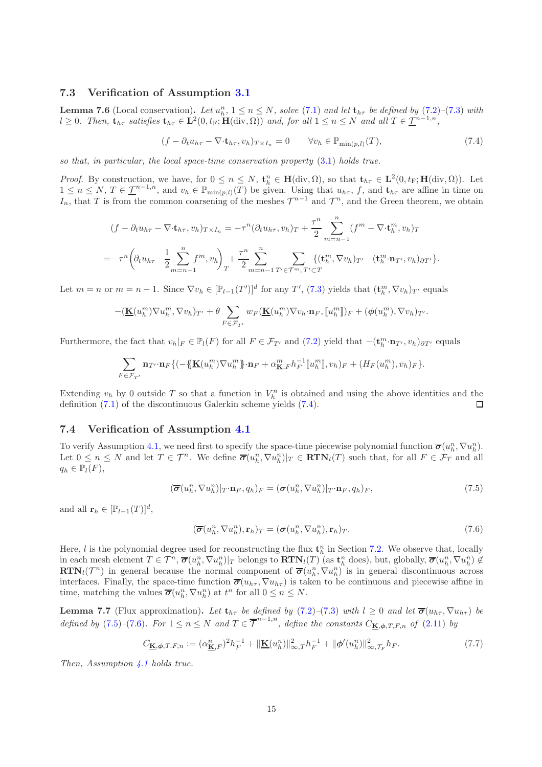### 7.3 Verification of Assumption [3.1](#page-6-0)

**Lemma 7.6** (Local conservation). Let  $u_h^n$ ,  $1 \le n \le N$ , solve [\(7.1\)](#page-13-0) and let  $\mathbf{t}_{h\tau}$  be defined by [\(7.2\)](#page-13-1)–[\(7.3\)](#page-13-2) with  $l \geq 0$ . Then,  $\mathbf{t}_{h\tau}$  satisfies  $\mathbf{t}_{h\tau} \in \mathbf{L}^2(0, t_F; \mathbf{H}(\text{div}, \Omega))$  and, for all  $1 \leq n \leq N$  and all  $T \in \mathcal{I}^{n-1,n}$ ,

<span id="page-14-3"></span>
$$
(f - \partial_t u_{h\tau} - \nabla \cdot \mathbf{t}_{h\tau}, v_h)_{T \times I_n} = 0 \qquad \forall v_h \in \mathbb{P}_{\min(p,l)}(T), \tag{7.4}
$$

*so that, in particular, the local space-time conservation property* [\(3.1\)](#page-6-4) *holds true.*

*Proof.* By construction, we have, for  $0 \le n \le N$ ,  $\mathbf{t}_h^n \in \mathbf{H}(\text{div}, \Omega)$ , so that  $\mathbf{t}_{h\tau} \in \mathbf{L}^2(0, t_F; \mathbf{H}(\text{div}, \Omega))$ . Let  $1 \leq n \leq N$ ,  $T \in \mathcal{I}^{n-1,n}$ , and  $v_h \in \mathbb{P}_{\min(p,l)}(T)$  be given. Using that  $u_{h\tau}$ , f, and  $\mathbf{t}_{h\tau}$  are affine in time on I<sub>n</sub>, that T is from the common coarsening of the meshes  $\mathcal{T}^{n-1}$  and  $\mathcal{T}^n$ , and the Green theorem, we obtain

$$
(f - \partial_t u_{h\tau} - \nabla \cdot \mathbf{t}_{h\tau}, v_h)_{T \times I_n} = -\tau^n (\partial_t u_{h\tau}, v_h)_{T} + \frac{\tau^n}{2} \sum_{m=n-1}^n (f^m - \nabla \cdot \mathbf{t}_h^m, v_h)_{T}
$$
  
=  $-\tau^n \left( \partial_t u_{h\tau} - \frac{1}{2} \sum_{m=n-1}^n f^m, v_h \right)_T + \frac{\tau^n}{2} \sum_{m=n-1}^n \sum_{T' \in \mathcal{T}^m, T' \subset T} \{ (\mathbf{t}_h^m, \nabla v_h)_{T'} - (\mathbf{t}_h^m \cdot \mathbf{n}_{T'}, v_h)_{\partial T'} \}.$ 

Let  $m = n$  or  $m = n - 1$ . Since  $\nabla v_h \in [\mathbb{P}_{l-1}(T')]^d$  for any  $T'$ , [\(7.3\)](#page-13-2) yields that  $(\mathbf{t}_h^m, \nabla v_h)_{T'}$  equals

$$
-(\underline{\mathbf{K}}(u_h^m)\nabla u_h^m,\nabla v_h)_{T'}+\theta\sum_{F\in\mathcal{F}_{T'}}w_F(\underline{\mathbf{K}}(u_h^m)\nabla v_h\cdot\mathbf{n}_F,[u_h^m])_F+(\phi(u_h^m),\nabla v_h)_{T'}.
$$

Furthermore, the fact that  $v_h|_F \in \mathbb{P}_l(F)$  for all  $F \in \mathcal{F}_{T'}$  and  $(7.2)$  yield that  $-(\mathbf{t}_h^m \cdot \mathbf{n}_{T'}, v_h)_{\partial T'}$  equals

$$
\sum_{F \in \mathcal{F}_{T'}} \mathbf{n}_{T'} \cdot \mathbf{n}_F \{ (-\{\underline{\mathbf{K}}(u_h^m) \nabla u_h^m\} \cdot \mathbf{n}_F + \alpha_{\underline{\mathbf{K}} ,F}^m h_F^{-1} [u_h^m], v_h)_F + (H_F(u_h^m), v_h)_F \}.
$$

Extending  $v_h$  by 0 outside T so that a function in  $V_h^n$  is obtained and using the above identities and the definition [\(7.1\)](#page-13-0) of the discontinuous Galerkin scheme yields [\(7.4\)](#page-14-3).  $\Box$ 

### 7.4 Verification of Assumption [4.1](#page-8-0)

To verify Assumption [4.1,](#page-8-0) we need first to specify the space-time piecewise polynomial function  $\overline{\sigma}(u_h^n, \nabla u_h^n)$ . Let  $0 \leq n \leq N$  and let  $T \in \mathcal{T}^n$ . We define  $\overline{\sigma}(u^n_h, \nabla u^n_h)|_T \in \mathbf{RTN}_l(T)$  such that, for all  $F \in \mathcal{F}_T$  and all  $q_h \in \mathbb{P}_l(F)$ ,

$$
(\boldsymbol{\overline{\sigma}}(u_h^n, \nabla u_h^n)|_T \cdot \mathbf{n}_F, q_h)_F = (\boldsymbol{\sigma}(u_h^n, \nabla u_h^n)|_T \cdot \mathbf{n}_F, q_h)_F, \tag{7.5}
$$

and all  $\mathbf{r}_h \in [\mathbb{P}_{l-1}(T)]^d$ ,

<span id="page-14-2"></span><span id="page-14-1"></span>
$$
(\boldsymbol{\overline{\sigma}}(u_h^n, \nabla u_h^n), \mathbf{r}_h)_T = (\boldsymbol{\sigma}(u_h^n, \nabla u_h^n), \mathbf{r}_h)_T. \tag{7.6}
$$

Here, l is the polynomial degree used for reconstructing the flux  $\mathbf{t}_h^n$  in Section [7.2.](#page-13-3) We observe that, locally in each mesh element  $T \in \mathcal{T}^n$ ,  $\overline{\sigma}(u_h^n, \nabla u_h^n)|_T$  belongs to  $\mathbf{RTN}_l(T)$  (as  $\mathbf{t}_h^n$  does), but, globally,  $\overline{\sigma}(u_h^n, \nabla u_h^n) \notin$  $\mathbf{RTN}_l(\mathcal{T}^n)$  in general because the normal component of  $\overline{\sigma}(u_h^n, \nabla u_h^n)$  is in general discontinuous across interfaces. Finally, the space-time function  $\bar{\sigma}(u_{h\tau}, \nabla u_{h\tau})$  is taken to be continuous and piecewise affine in time, matching the values  $\overline{\sigma}(u_h^n, \nabla u_h^n)$  at  $t^n$  for all  $0 \le n \le N$ .

**Lemma 7.7** (Flux approximation). Let  $\mathbf{t}_{h\tau}$  *be defined by* [\(7.2\)](#page-13-1)–[\(7.3\)](#page-13-2) *with*  $l \geq 0$  *and let*  $\overline{\sigma}(u_{h\tau}, \nabla u_{h\tau})$  *be defined by* [\(7.5\)](#page-14-1)–[\(7.6\)](#page-14-2)*.* For  $1 \le n \le N$  *and*  $T \in \overline{\mathcal{T}}^{n-1,n}$ *, define the constants*  $C_{\underline{\mathbf{K}},\phi,T,F,n}$  *of* [\(2.11\)](#page-5-2) *by* 

<span id="page-14-0"></span>
$$
C_{\underline{\mathbf{K}},\phi,T,F,n} := (\alpha_{\underline{\mathbf{K}},F}^n)^2 h_F^{-1} + \|\underline{\mathbf{K}}(u_h^n)\|_{\infty,T}^2 h_F^{-1} + \|\phi'(u_h^n)\|_{\infty,T_F}^2 h_F. \tag{7.7}
$$

*Then, Assumption [4.1](#page-8-0) holds true.*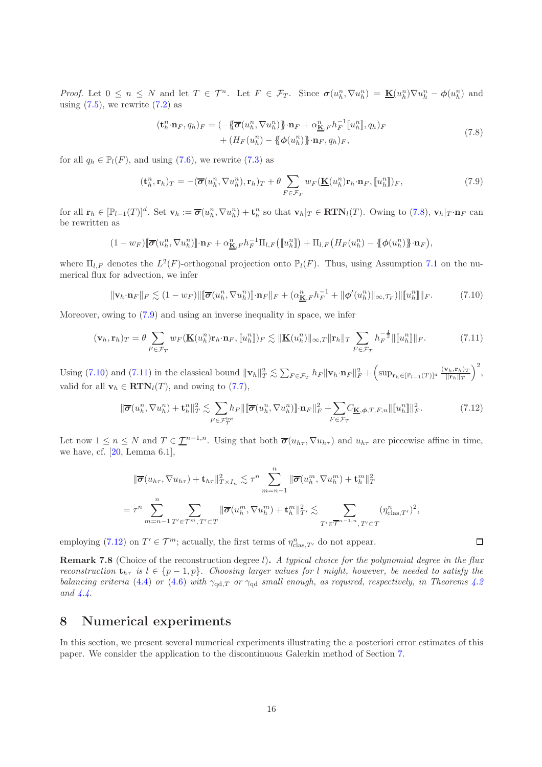*Proof.* Let  $0 \le n \le N$  and let  $T \in \mathcal{T}^n$ . Let  $F \in \mathcal{F}_T$ . Since  $\sigma(u_h^n, \nabla u_h^n) = \underline{\mathbf{K}}(u_h^n) \nabla u_h^n - \phi(u_h^n)$  and using  $(7.5)$ , we rewrite  $(7.2)$  as

$$
(\mathbf{t}_h^n \cdot \mathbf{n}_F, q_h)_F = (-\{\overline{\boldsymbol{\sigma}}(u_h^n, \nabla u_h^n)\} \cdot \mathbf{n}_F + \alpha_{\underline{\mathbf{K}}, F}^n h_F^{-1} [\![u_h^n]\!], q_h)_F + (H_F(u_h^n) - \{\boldsymbol{\phi}(u_h^n)\} \cdot \mathbf{n}_F, q_h)_F,
$$
\n(7.8)

<span id="page-15-1"></span>for all  $q_h \in \mathbb{P}_l(F)$ , and using [\(7.6\)](#page-14-2), we rewrite [\(7.3\)](#page-13-2) as

<span id="page-15-2"></span>
$$
(\mathbf{t}_h^n, \mathbf{r}_h)_T = -(\overline{\boldsymbol{\sigma}}(u_h^n, \nabla u_h^n), \mathbf{r}_h)_T + \theta \sum_{F \in \mathcal{F}_T} w_F(\underline{\mathbf{K}}(u_h^n) \mathbf{r}_h \cdot \mathbf{n}_F, [\![u_h^n]\!])_F, \tag{7.9}
$$

for all  $\mathbf{r}_h \in [\mathbb{P}_{l-1}(T)]^d$ . Set  $\mathbf{v}_h := \overline{\sigma}(u_h^n, \nabla u_h^n) + \mathbf{t}_h^n$  so that  $\mathbf{v}_h|_T \in \mathbf{RTN}_l(T)$ . Owing to  $(7.8)$ ,  $\mathbf{v}_h|_T \cdot \mathbf{n}_F$  can be rewritten as

$$
(1 - w_F) [\overline{\boldsymbol{\sigma}}(u_h^n, \nabla u_h^n)] \cdot \mathbf{n}_F + \alpha_{\underline{\mathbf{K}},F}^n h_F^{-1} \Pi_{l,F} ([\![u_h^n]\!]) + \Pi_{l,F} (H_F(u_h^n) - \{\!\!\{\boldsymbol{\phi}(u_h^n)\}\!\!\} \cdot \mathbf{n}_F),
$$

where  $\Pi_{l,F}$  denotes the  $L^2(F)$ -orthogonal projection onto  $\mathbb{P}_l(F)$ . Thus, using Assumption [7.1](#page-13-4) on the numerical flux for advection, we infer

<span id="page-15-3"></span>
$$
\|\mathbf{v}_h \cdot \mathbf{n}_F\|_F \lesssim (1 - w_F) \|\[\overline{\boldsymbol{\sigma}}(u_h^n, \nabla u_h^n)\] \cdot \mathbf{n}_F\|_F + (\alpha_{\underline{\mathbf{K}}}^n F_h^{-1} + \|\boldsymbol{\phi}'(u_h^n)\|_{\infty, \mathcal{T}_F}) \|\[u_h^n]\|_F. \tag{7.10}
$$

Moreover, owing to [\(7.9\)](#page-15-2) and using an inverse inequality in space, we infer

<span id="page-15-4"></span>
$$
(\mathbf{v}_h, \mathbf{r}_h)_T = \theta \sum_{F \in \mathcal{F}_T} w_F(\underline{\mathbf{K}}(u_h^n) \mathbf{r}_h \cdot \mathbf{n}_F, [u_h^n])_F \lesssim \|\underline{\mathbf{K}}(u_h^n)\|_{\infty, T} \|\mathbf{r}_h\|_T \sum_{F \in \mathcal{F}_T} h_F^{-\frac{1}{2}} \|\llbracket u_h^n \rrbracket \|_F. \tag{7.11}
$$

Using [\(7.10\)](#page-15-3) and [\(7.11\)](#page-15-4) in the classical bound  $\|\mathbf{v}_h\|_T^2 \lesssim \sum_{F \in \mathcal{F}_T} h_F \|\mathbf{v}_h \cdot \mathbf{n}_F\|_F^2 + \left(\sup_{\mathbf{r}_h \in [\mathbb{P}_{l-1}(T)]^d} \frac{(\mathbf{v}_h, \mathbf{r}_h)_T}{\|\mathbf{r}_h\|_T}\right)$  $\frac{\|\mathbf{r}_h, \mathbf{r}_h\}_T}{\|\mathbf{r}_h\|_T}\bigg)^2,$ valid for all  $\mathbf{v}_h \in \text{RTN}_l(T)$ , and owing to [\(7.7\)](#page-14-0),

$$
\|\overline{\boldsymbol{\sigma}}(u_h^n, \nabla u_h^n) + \mathbf{t}_h^n\|_{T}^2 \lesssim \sum_{F \in \mathcal{F}_T^{\text{int}}} h_F \|\[\overline{\boldsymbol{\sigma}}(u_h^n, \nabla u_h^n)\] \cdot \mathbf{n}_F\|_{F}^2 + \sum_{F \in \mathcal{F}_T} C_{\underline{\mathbf{K}}, \phi, T, F, n} \|\[u_h^n\]\|_{F}^2. \tag{7.12}
$$

Let now  $1 \le n \le N$  and  $T \in \underline{T}^{n-1,n}$ . Using that both  $\overline{\sigma}(u_{h\tau}, \nabla u_{h\tau})$  and  $u_{h\tau}$  are piecewise affine in time, we have, cf. [\[20,](#page-24-2) Lemma 6.1],

$$
\|\overline{\sigma}(u_{h\tau}, \nabla u_{h\tau}) + \mathbf{t}_{h\tau}\|_{T\times I_n}^2 \lesssim \tau^n \sum_{m=n-1}^n \|\overline{\sigma}(u_h^m, \nabla u_h^m) + \mathbf{t}_h^m\|_T^2
$$
  
=  $\tau^n \sum_{m=n-1}^n \sum_{T' \in \mathcal{T}^m, T' \subset T} \|\overline{\sigma}(u_h^m, \nabla u_h^m) + \mathbf{t}_h^m\|_{T'}^2 \lesssim \sum_{T' \in \overline{\mathcal{T}}^{n-1,n}, T' \subset T} (\eta_{\text{clas},T'}^n)^2,$ 

employing [\(7.12\)](#page-15-5) on  $T' \in \mathcal{T}^m$ ; actually, the first terms of  $\eta^n_{\text{clas},T'}$  do not appear.

Remark 7.8 (Choice of the reconstruction degree l). *A typical choice for the polynomial degree in the flux reconstruction*  $\mathbf{t}_{h\tau}$  *is*  $l \in \{p-1,p\}$ *. Choosing larger values for* l *might, however, be needed to satisfy the balancing criteria* [\(4.4\)](#page-8-2) *or* [\(4.6\)](#page-9-2) *with*  $\gamma_{qd,T}$  *or*  $\gamma_{qd}$  *small enough, as required, respectively, in Theorems* [4.2](#page-8-1) *and [4.4.](#page-9-0)*

# <span id="page-15-0"></span>8 Numerical experiments

In this section, we present several numerical experiments illustrating the a posteriori error estimates of this paper. We consider the application to the discontinuous Galerkin method of Section [7.](#page-12-0)

<span id="page-15-5"></span> $\Box$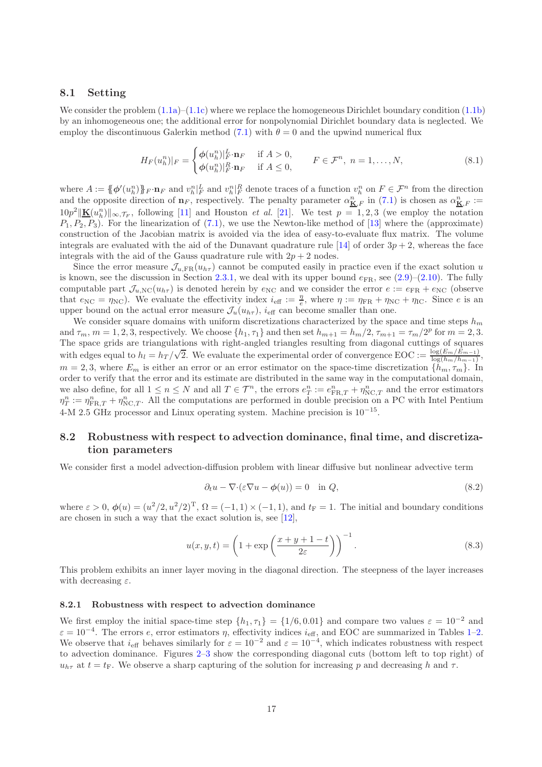### 8.1 Setting

We consider the problem  $(1.1a)$ – $(1.1c)$  where we replace the homogeneous Dirichlet boundary condition  $(1.1b)$ by an inhomogeneous one; the additional error for nonpolynomial Dirichlet boundary data is neglected. We employ the discontinuous Galerkin method [\(7.1\)](#page-13-0) with  $\theta = 0$  and the upwind numerical flux

<span id="page-16-0"></span>
$$
H_F(u_h^n)|_F = \begin{cases} \phi(u_h^n)|_F^L \cdot \mathbf{n}_F & \text{if } A > 0, \\ \phi(u_h^n)|_F^R \cdot \mathbf{n}_F & \text{if } A \le 0, \end{cases} \qquad F \in \mathcal{F}^n, \ n = 1, \dots, N,\tag{8.1}
$$

where  $A := \{\!\!\{\boldsymbol{\phi}'(u_h^n)\}\!\!\}_{F} \cdot \mathbf{n}_F$  and  $v_h^n|_F^L$  and  $v_h^n|_F^R$  denote traces of a function  $v_h^n$  on  $F \in \mathcal{F}^n$  from the direction and the opposite direction of  $\mathbf{n}_F$ , respectively. The penalty parameter  $\alpha_{\mathbf{K},F}^n$  in [\(7.1\)](#page-13-0) is chosen as  $\alpha_{\mathbf{K},F}^n :=$  $10p^2\|\mathbf{K}(u_h^n)\|_{\infty,\mathcal{T}_F}$ , following [\[11\]](#page-23-5) and Houston *et al.* [\[21\]](#page-24-16). We test  $p=1,2,3$  (we employ the notation  $P_1, P_2, P_3$ ). For the linearization of [\(7.1\)](#page-13-0), we use the Newton-like method of [\[13\]](#page-23-6) where the (approximate) construction of the Jacobian matrix is avoided via the idea of easy-to-evaluate flux matrix. The volume integrals are evaluated with the aid of the Dunavant quadrature rule [\[14\]](#page-23-7) of order  $3p + 2$ , whereas the face integrals with the aid of the Gauss quadrature rule with  $2p + 2$  nodes.

Since the error measure  $\mathcal{J}_{u,\text{FR}}(u_{h\tau})$  cannot be computed easily in practice even if the exact solution u is known, see the discussion in Section [2.3.1,](#page-4-5) we deal with its upper bound  $e_{FR}$ , see [\(2.9\)](#page-5-0)–[\(2.10\)](#page-5-1). The fully computable part  $\mathcal{J}_{u,\text{NC}}(u_{h\tau})$  is denoted herein by  $e_{\text{NC}}$  and we consider the error  $e := e_{\text{FR}} + e_{\text{NC}}$  (observe that  $e_{\text{NC}} = \eta_{\text{NC}}$ ). We evaluate the effectivity index  $i_{\text{eff}} := \frac{\eta}{e}$ , where  $\eta := \eta_{\text{FR}} + \eta_{\text{NC}} + \eta_{\text{IC}}$ . Since e is an upper bound on the actual error measure  $\mathcal{J}_u(u_{h\tau})$ ,  $i_{\text{eff}}$  can become smaller than one.

We consider square domains with uniform discretizations characterized by the space and time steps  $h_m$ and  $\tau_m$ ,  $m = 1, 2, 3$ , respectively. We choose  $\{h_1, \tau_1\}$  and then set  $h_{m+1} = h_m/2$ ,  $\tau_{m+1} = \tau_m/2^p$  for  $m = 2, 3$ . The space grids are triangulations with right-angled triangles resulting from diagonal cuttings of squares with edges equal to  $h_l = h_T / \sqrt{2}$ . We evaluate the experimental order of convergence EOC :=  $\frac{\log(E_m / \vec{E}_{m-1})}{\log(h_m / h_{m-1})}$ ,  $m = 2, 3$ , where  $E_m$  is either an error or an error estimator on the space-time discretization  $\{h_m, \tau_m\}$ . In order to verify that the error and its estimate are distributed in the same way in the computational domain, we also define, for all  $1 \leq n \leq N$  and all  $T \in \mathcal{T}^n$ , the errors  $e_T^n := e_{\text{FR},T}^n + \eta_{\text{NC},T}^n$  and the error estimators  $\eta_T^n := \eta_{\text{FR},T}^n + \eta_{\text{NC},T}^n$ . All the computations are performed in double precision on a PC with Intel Pentium  $4\text{-M } 2.5 \text{ GHz processor and Linux operating system. Machine precision is } 10^{-15}$ .

### 8.2 Robustness with respect to advection dominance, final time, and discretization parameters

We consider first a model advection-diffusion problem with linear diffusive but nonlinear advective term

<span id="page-16-1"></span>
$$
\partial_t u - \nabla \cdot (\varepsilon \nabla u - \phi(u)) = 0 \quad \text{in } Q,
$$
\n(8.2)

where  $\varepsilon > 0$ ,  $\phi(u) = (u^2/2, u^2/2)^T$ ,  $\Omega = (-1, 1) \times (-1, 1)$ , and  $t_F = 1$ . The initial and boundary conditions are chosen in such a way that the exact solution is, see [\[12\]](#page-23-8),

<span id="page-16-2"></span>
$$
u(x, y, t) = \left(1 + \exp\left(\frac{x + y + 1 - t}{2\varepsilon}\right)\right)^{-1}.\tag{8.3}
$$

This problem exhibits an inner layer moving in the diagonal direction. The steepness of the layer increases with decreasing  $\varepsilon$ .

#### 8.2.1 Robustness with respect to advection dominance

We first employ the initial space-time step  $\{h_1, \tau_1\} = \{1/6, 0.01\}$  and compare two values  $\varepsilon = 10^{-2}$  and  $\varepsilon = 10^{-4}$ . The errors e, error estimators  $\eta$ , effectivity indices  $i_{\text{eff}}$ , and EOC are summarized in Tables [1–](#page-17-0)[2.](#page-17-1) We observe that  $i_{\text{eff}}$  behaves similarly for  $\varepsilon = 10^{-2}$  and  $\varepsilon = 10^{-4}$ , which indicates robustness with respect to advection dominance. Figures [2–](#page-17-2)[3](#page-18-0) show the corresponding diagonal cuts (bottom left to top right) of  $u_{h\tau}$  at  $t = t_F$ . We observe a sharp capturing of the solution for increasing p and decreasing h and  $\tau$ .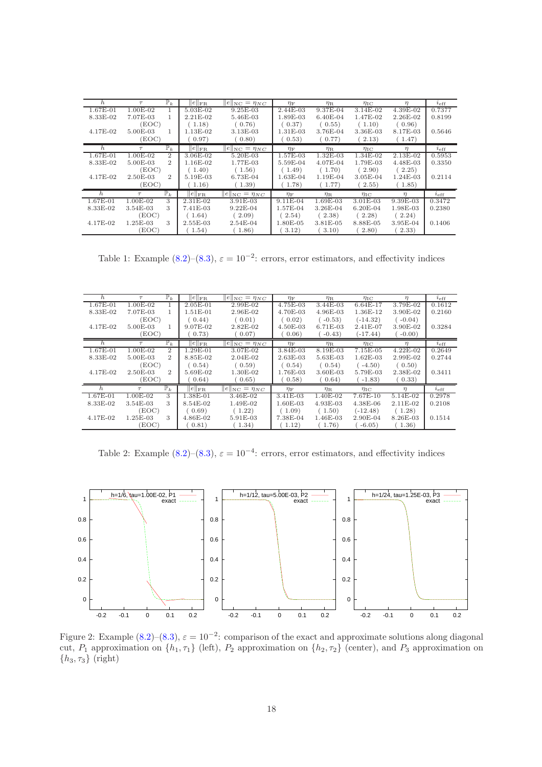| h.       | $\mathbb{P}_k$<br>$\tau$             | $ e _{\operatorname{FR}}$   | $  e  _{\text{NC}} = \eta_{NC}$ | $\eta_F$   | $\eta_{\rm R}$ | $\eta_{\mathrm{IC}}$ | $\eta$     | $i_{\text{eff}}$ |
|----------|--------------------------------------|-----------------------------|---------------------------------|------------|----------------|----------------------|------------|------------------|
| 1.67E-01 | $1.00E-02$                           | 5.03E-02                    | $9.25E-03$                      | $2.44E-03$ | 9.37E-04       | $3.14E-02$           | $4.39E-02$ | 0.7377           |
| 8.33E-02 | 7.07E-03                             | 2.21E-02                    | 5.46E-03                        | 1.89E-03   | $6.40E-04$     | 1.47E-02             | 2.26E-02   | 0.8199           |
|          | (EOC)                                | 1.18)                       | (0.76)                          | (0.37)     | (0.55)         | (1.10)               | (0.96)     |                  |
| 4.17E-02 | 5.00E-03                             | 1.13E-02                    | 3.13E-03                        | 1.31E-03   | 3.76E-04       | 3.36E-03             | 8.17E-03   | 0.5646           |
|          | (EOC)                                | 0.97)                       | (0.80)                          | (0.53)     | 0.77)          | 2.13)                | (1.47)     |                  |
|          | $\mathbb{P}_k$<br>$\tau$             | $\ e\ _{\operatorname{FR}}$ | $  e  _{\text{NC}} = \eta_{NC}$ | $\eta_F$   | $\eta_{\rm R}$ | $\eta_{\mathrm{IC}}$ | $\eta$     | $i_{\text{eff}}$ |
| 1.67E-01 | $1.00E-02$<br>$\overline{2}$         | 3.06E-02                    | 5.20E-03                        | 1.57E-03   | 1.32E-03       | 1.34E-02             | 2.13E-02   | 0.5953           |
| 8.33E-02 | 5.00E-03<br>$\overline{2}$           | 1.16E-02                    | 1.77E-03                        | 5.59E-04   | 4.07E-04       | 1.79E-03             | $4.48E-03$ | 0.3350           |
|          | (EOC)                                | 1.40)                       | (1.56)                          | (1.49)     | (1.70)         | (2.90)               | (2.25)     |                  |
| 4.17E-02 | 2.50E-03<br>$\mathfrak{D}_{1}^{(1)}$ | 5.19E-03                    | $6.73E-04$                      | 1.63E-04   | 1.19E-04       | 3.05E-04             | $1.24E-03$ | 0.2114           |
|          | (EOC)                                | 1.16)                       | 1.39)                           | 1.78)      | 1.77)          | 2.55)                | (1.85)     |                  |
| h        | $\mathbb{P}_k$<br>$\tau$             | $ e _{\text{FR}}$           | $  e  _{\text{NC}} = \eta_{NC}$ | $\eta_F$   | $\eta_{\rm R}$ | $\eta_{\mathrm{IC}}$ | $\eta$     | $i_{\rm eff}$    |
| 1.67E-01 | $1.00E-02$<br>3                      | $2.31E-02$                  | $3.91E-03$                      | $9.11E-04$ | 1.69E-03       | $3.01E-03$           | 9.39E-03   | 0.3472           |
| 8.33E-02 | $3.54E-03$<br>3                      | $7.41E-03$                  | $9.22E-04$                      | 1.57E-04   | 3.26E-04       | 6.20E-04             | 1.98E-03   | 0.2380           |
|          | (EOC)                                | (1.64)                      | 2.09)                           | 2.54)      | (2.38)         | (2.28)               | (2.24)     |                  |
| 4.17E-02 | $1.25E-03$<br>3                      | 2.55E-03                    | $2.54E-04$                      | 1.80E-05   | 3.81E-05       | 8.88E-05             | $3.95E-04$ | 0.1406           |
|          | (EOC)                                | 1.54)                       | 1.86)                           | 3.12)      | 3.10)          | 2.80)                | (2.33)     |                  |

<span id="page-17-0"></span>Table 1: Example  $(8.2)$ – $(8.3)$ ,  $\varepsilon = 10^{-2}$ : errors, error estimators, and effectivity indices

| h.           | $\tau$     | $\mathbb{P}_k$ | $  e  _{\text{FR}}$         | $  e  _{\text{NC}} = \eta_{NC}$ | $\eta_{\mathrm{F}}$ | $\eta_{\rm R}$ | $\eta_{\mathrm{IC}}$ | $\eta$     | $i_{\rm eff}$ |
|--------------|------------|----------------|-----------------------------|---------------------------------|---------------------|----------------|----------------------|------------|---------------|
| $1.67E - 01$ | $1.00E-02$ |                | $2.05E-01$                  | $2.99E-02$                      | $4.75E-03$          | $3.44E-03$     | $6.64E-17$           | 3.79E-02   | 0.1612        |
| 8.33E-02     | 7.07E-03   |                | 1.51E-01                    | 2.96E-02                        | 4.70E-03            | 4.96E-03       | 1.36E-12             | 3.90E-02   | 0.2160        |
|              | (EOC)      |                | (0.44)                      | (0.01)                          | (0.02)              | $-0.53)$       | $(-14.32)$           | $(-0.04)$  |               |
| 4.17E-02     | 5.00E-03   |                | 9.07E-02                    | 2.82E-02                        | 4.50E-03            | 6.71E-03       | 2.41E-07             | 3.90E-02   | 0.3284        |
|              | (EOC)      |                | (0.73)                      | 0.07)                           | 0.06)               | $-0.43)$       | $(-17.44)$           | $-0.00$    |               |
|              | $\tau$     | $\mathbb{P}_k$ | $\ e\ _{\operatorname{FR}}$ | $  e  _{\text{NC}} = \eta_{NC}$ | $\eta_{\mathrm{F}}$ | $\eta_{\rm R}$ | $\eta_{\mathrm{IC}}$ | $\eta$     | $i_{\rm eff}$ |
| 1.67E-01     | 1.00E-02   | $\overline{2}$ | 1.29E-01                    | 3.07E-02                        | 3.84E-03            | 8.19E-03       | 7.15E-05             | $4.22E-02$ | 0.2649        |
| 8.33E-02     | $5.00E-03$ | $\overline{2}$ | 8.85E-02                    | $2.04E-02$                      | $2.63E-03$          | 5.63E-03       | $1.62E-03$           | $2.99E-02$ | 0.2744        |
|              | (EOC)      |                | (0.54)                      | (0.59)                          | (0.54)              | (0.54)         | $(-4.50)$            | (0.50)     |               |
| 4.17E-02     | 2.50E-03   | $\overline{2}$ | 5.69E-02                    | $1.30E-02$                      | 1.76E-03            | $3.60E-03$     | 5.79E-03             | 2.38E-02   | 0.3411        |
|              | (EOC)      |                | 0.64)                       | 0.65)                           | (0.58)              | (0.64)         | $-1.83)$             | (0.33)     |               |
| h.           | $\tau$     | $\mathbb{P}_k$ | $\ e\ _{\operatorname{FR}}$ | $  e  _{\text{NC}} = \eta_{NC}$ | $\eta_F$            | $\eta_{\rm R}$ | $\eta_{\mathrm{IC}}$ | $\eta$     | $i_{\rm eff}$ |
| 1.67E-01     | $1.00E-02$ | 3              | 1.38E-01                    | 3.46E-02                        | $3.41E-03$          | 1.40E-02       | 7.67E-10             | 5.14E-02   | 0.2978        |
| 8.33E-02     | $3.54E-03$ | 3              | 8.54E-02                    | 1.49E-02                        | 1.60E-03            | 4.93E-03       | $4.38E-06$           | 2.11E-02   | 0.2108        |
|              | (EOC)      |                | 0.69                        | (1.22)                          | 1.09                | (1.50)         | $(-12.48)$           | (1.28)     |               |
| 4.17E-02     | $1.25E-03$ | 3              | $4.86E-02$                  | $5.91E-03$                      | 7.38E-04            | $1.46E-03$     | $2.90E-04$           | 8.26E-03   | 0.1514        |
|              | (EOC)      |                | 0.81)                       | 1.34)                           | 1.12)               | (1.76)         | $-6.05)$             | (1.36)     |               |

<span id="page-17-1"></span>Table 2: Example  $(8.2)$ – $(8.3)$ ,  $\varepsilon = 10^{-4}$ : errors, error estimators, and effectivity indices



<span id="page-17-2"></span>Figure 2: Example  $(8.2)$ – $(8.3)$ ,  $\varepsilon = 10^{-2}$ : comparison of the exact and approximate solutions along diagonal cut,  $P_1$  approximation on  $\{h_1, \tau_1\}$  (left),  $P_2$  approximation on  $\{h_2, \tau_2\}$  (center), and  $P_3$  approximation on  $\{h_3, \tau_3\}$  (right)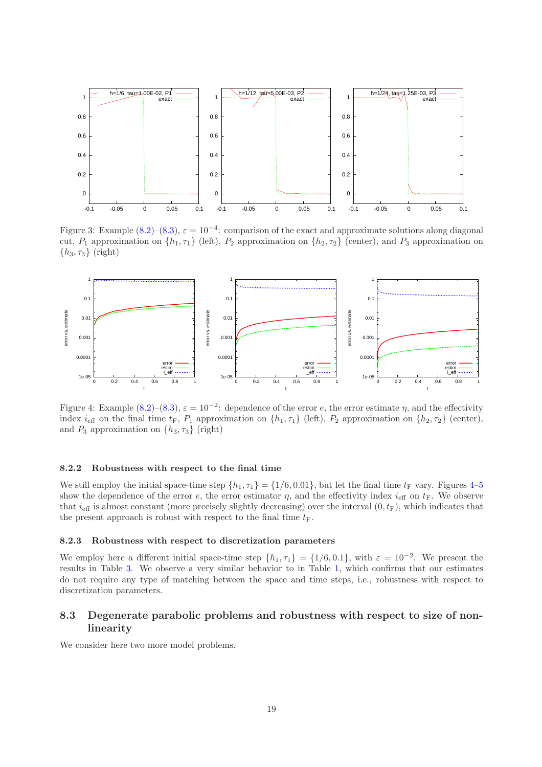

<span id="page-18-0"></span>Figure 3: Example  $(8.2)$ – $(8.3)$ ,  $\varepsilon = 10^{-4}$ : comparison of the exact and approximate solutions along diagonal cut,  $P_1$  approximation on  $\{h_1, \tau_1\}$  (left),  $P_2$  approximation on  $\{h_2, \tau_2\}$  (center), and  $P_3$  approximation on  $\{h_3, \tau_3\}$  (right)



<span id="page-18-1"></span>Figure 4: Example  $(8.2)$ – $(8.3)$ ,  $\varepsilon = 10^{-2}$ : dependence of the error e, the error estimate  $\eta$ , and the effectivity index  $i_{\text{eff}}$  on the final time  $t_F$ ,  $P_1$  approximation on  $\{h_1, \tau_1\}$  (left),  $P_2$  approximation on  $\{h_2, \tau_2\}$  (center), and  $P_3$  approximation on  $\{h_3, \tau_3\}$  (right)

### 8.2.2 Robustness with respect to the final time

We still employ the initial space-time step  $\{h_1, \tau_1\} = \{1/6, 0.01\}$ , but let the final time  $t_F$  vary. Figures [4–](#page-18-1)[5](#page-19-0) show the dependence of the error e, the error estimator  $\eta$ , and the effectivity index  $i_{\text{eff}}$  on  $t_{\text{F}}$ . We observe that  $i_{\text{eff}}$  is almost constant (more precisely slightly decreasing) over the interval  $(0, t_F)$ , which indicates that the present approach is robust with respect to the final time  $t_F$ .

#### 8.2.3 Robustness with respect to discretization parameters

We employ here a different initial space-time step  $\{h_1, \tau_1\} = \{1/6, 0.1\}$ , with  $\varepsilon = 10^{-2}$ . We present the results in Table [3.](#page-19-1) We observe a very similar behavior to in Table [1,](#page-17-0) which confirms that our estimates do not require any type of matching between the space and time steps, i.e., robustness with respect to discretization parameters.

### 8.3 Degenerate parabolic problems and robustness with respect to size of nonlinearity

We consider here two more model problems.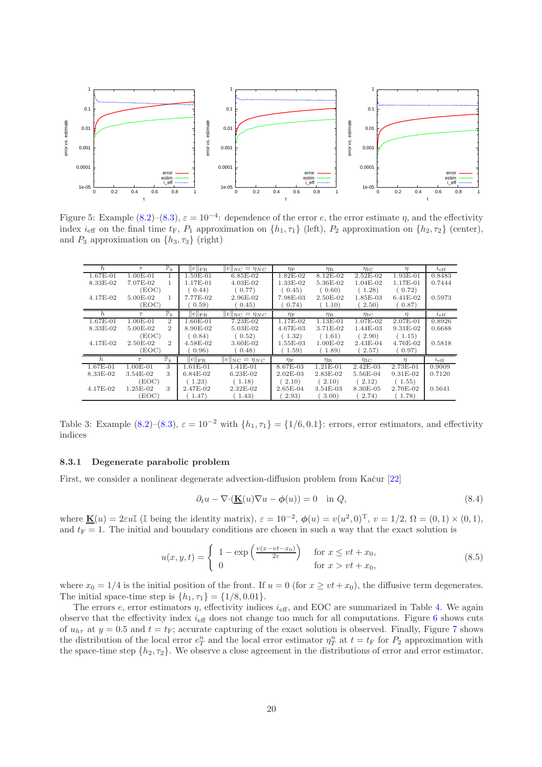

<span id="page-19-0"></span>Figure 5: Example  $(8.2)$ – $(8.3)$ ,  $\varepsilon = 10^{-4}$ : dependence of the error e, the error estimate  $\eta$ , and the effectivity index  $i_{\text{eff}}$  on the final time  $t_F$ ,  $P_1$  approximation on  $\{h_1, \tau_1\}$  (left),  $P_2$  approximation on  $\{h_2, \tau_2\}$  (center), and  $P_3$  approximation on  $\{h_3, \tau_3\}$  (right)

| h.       | $\tau$     | $\mathbb{P}_k$ | $\ e\ _{\operatorname{FR}}$ | $  e  _{\text{NC}} = \eta_{NC}$ | $\eta_{\mathrm{F}}$ | $\eta_{\rm R}$ | $\eta_{\mathrm{IC}}$ | $\eta$     | $i_{\rm eff}$ |
|----------|------------|----------------|-----------------------------|---------------------------------|---------------------|----------------|----------------------|------------|---------------|
| 1.67E-01 | $1.00E-01$ |                | 1.59E-01                    | 6.85E-02                        | $1.82E-02$          | $8.12E-02$     | $2.52E-02$           | 1.93E-01   | 0.8483        |
| 8.33E-02 | 7.07E-02   |                | 1.17E-01                    | $4.03E-02$                      | 1.33E-02            | 5.36E-02       | $1.04E-02$           | 1.17E-01   | 0.7444        |
|          | (EOC)      |                | (0.44)                      | (0.77)                          | (0.45)              | (0.60)         | (1.28)               | (0.72)     |               |
| 4.17E-02 | 5.00E-02   |                | 7.77E-02                    | $2.96E-02$                      | 7.98E-03            | 2.50E-02       | 1.85E-03             | $6.41E-02$ | 0.5973        |
|          | (EOC)      |                | (0.59)                      | 0.45)                           | 0.74)               | (1.10)         | 2.50)                | (0.87)     |               |
|          | $\tau$     | $\mathbb{P}_k$ | $\ e\ _{\operatorname{FR}}$ | $  e  _{\text{NC}} = \eta_{NC}$ | $\eta_F$            | $\eta_{\rm R}$ | $\eta_{\mathrm{IC}}$ | $\eta$     | $i_{\rm eff}$ |
| 1.67E-01 | $1.00E-01$ | $\overline{2}$ | 1.60E-01                    | 7.23E-02                        | 1.17E-02            | 1.13E-01       | 1.07E-02             | 2.07E-01   | 0.8926        |
| 8.33E-02 | 5.00E-02   | 2              | 8.90E-02                    | 5.03E-02                        | 4.67E-03            | 3.71E-02       | 1.44E-03             | 9.31E-02   | 0.6688        |
|          | (EOC)      |                | 0.84)                       | (0.52)                          | 1.32)               | (1.61)         | (2.90)               | (1.15)     |               |
| 4.17E-02 | 2.50E-02   | $\overline{2}$ | 4.58E-02                    | 3.60E-02                        | $1.55E-03$          | $1.00E-02$     | 2.43E-04             | 4.76E-02   | 0.5818        |
|          | (EOC)      |                | (0.96)                      | (0.48)                          | 1.59)               | 1.89)          | 2.57)                | (0.97)     |               |
|          | $\tau$     | $\mathbb{P}_k$ | $\ e\ _{\operatorname{FR}}$ | $  e  _{\text{NC}} = \eta_{NC}$ | $\eta_F$            | $\eta_{\rm R}$ | $\eta_{\mathrm{IC}}$ | $\eta$     | $i_{\rm eff}$ |
| 1.67E-01 | $1.00E-01$ | 3              | 1.61E-01                    | 1.41E-01                        | 8.67E-03            | 1.21E-01       | $2.42E-03$           | 2.73E-01   | 0.9009        |
| 8.33E-02 | $3.54E-02$ | 3              | $6.84E-02$                  | $6.23E-02$                      | $2.02E-03$          | 2.83E-02       | 5.56E-04             | 9.31E-02   | 0.7120        |
|          | (EOC)      |                | 1.23)                       | (1.18)                          | 2.10)               | (2.10)         | (2.12)               | (1.55)     |               |
| 4.17E-02 | $1.25E-02$ | 3              | 2.47E-02                    | $2.32E-02$                      | $2.65E-04$          | $3.54E-03$     | 8.30E-05             | 2.70E-02   | 0.5641        |
|          | ΈOC)       |                | 1.47)                       | 1.43)                           | (2.93)              | 3.00)          | 2.74)                | 1.78)      |               |

<span id="page-19-1"></span>Table 3: Example [\(8.2\)](#page-16-1)–[\(8.3\)](#page-16-2),  $\varepsilon = 10^{-2}$  with  $\{h_1, \tau_1\} = \{1/6, 0.1\}$ : errors, error estimators, and effectivity indices

### 8.3.1 Degenerate parabolic problem

First, we consider a nonlinear degenerate advection-diffusion problem from Kačur [\[22\]](#page-24-17)

<span id="page-19-2"></span>
$$
\partial_t u - \nabla \cdot (\underline{\mathbf{K}}(u) \nabla u - \phi(u)) = 0 \quad \text{in } Q,
$$
\n(8.4)

where  $\underline{\mathbf{K}}(u) = 2\varepsilon u \mathbb{I}$  (I being the identity matrix),  $\varepsilon = 10^{-2}$ ,  $\phi(u) = v(u^2, 0)^T$ ,  $v = 1/2$ ,  $\Omega = (0, 1) \times (0, 1)$ , and  $t_F = 1$ . The initial and boundary conditions are chosen in such a way that the exact solution is

<span id="page-19-3"></span>
$$
u(x, y, t) = \begin{cases} 1 - \exp\left(\frac{v(x - vt - x_0)}{2\varepsilon}\right) & \text{for } x \le vt + x_0, \\ 0 & \text{for } x > vt + x_0, \end{cases}
$$
(8.5)

where  $x_0 = 1/4$  is the initial position of the front. If  $u = 0$  (for  $x \ge vt + x_0$ ), the diffusive term degenerates. The initial space-time step is  $\{h_1, \tau_1\} = \{1/8, 0.01\}.$ 

The errors  $e$ , error estimators  $\eta$ , effectivity indices  $i_{\text{eff}}$ , and EOC are summarized in Table [4.](#page-20-0) We again observe that the effectivity index  $i_{\text{eff}}$  does not change too much for all computations. Figure [6](#page-21-0) shows cuts of  $u_{h\tau}$  at  $y = 0.5$  and  $t = t_F$ ; accurate capturing of the exact solution is observed. Finally, Figure [7](#page-21-1) shows the distribution of the local error  $e_T^n$  and the local error estimator  $\eta_T^n$  at  $t = t_F$  for  $P_2$  approximation with the space-time step  $\{h_2, \tau_2\}$ . We observe a close agreement in the distributions of error and error estimator.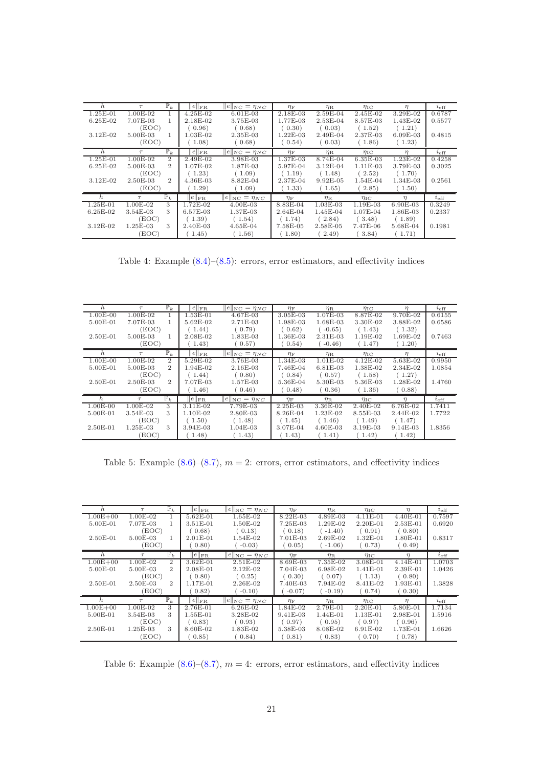| h.         | $\mathbb{P}_k$<br>$\tau$     | $  e  _{\text{FR}}$         | $ e _{\text{NC}} = \eta_{NC}$   | $\eta_F$            | $\eta_{\rm R}$ | $\eta_{\mathrm{IC}}$ | $\eta$     | $i_{\rm eff}$ |
|------------|------------------------------|-----------------------------|---------------------------------|---------------------|----------------|----------------------|------------|---------------|
| 1.25E-01   | 1.00E-02<br>1.               | $4.25E-02$                  | $6.01E-03$                      | 2.18E-03            | 2.59E-04       | 2.45E-02             | 3.29E-02   | 0.6787        |
| $6.25E-02$ | 7.07E-03                     | 2.18E-02                    | 3.75E-03                        | 1.77E-03            | $2.53E-04$     | 8.57E-03             | 1.43E-02   | 0.5577        |
|            | (EOC)                        | (0.96)                      | (0.68)                          | (0.30)              | (0.03)         | (1.52)               | (1.21)     |               |
| $3.12E-02$ | 5.00E-03<br>1                | $1.03E-02$                  | 2.35E-03                        | $1.22E-03$          | 2.49E-04       | 2.37E-03             | $6.09E-03$ | 0.4815        |
|            | (EOC)                        | 1.08)                       | 0.68)                           | (0.54)              | (0.03)         | (1.86)               | (1.23)     |               |
| h.         | $\mathbb{P}_k$<br>$\tau$     | $  e  _{\text{FR}}$         | $  e  _{\text{NC}} = \eta_{NC}$ | $\eta_{\mathrm{F}}$ | $\eta_{\rm R}$ | $\eta_{\mathrm{IC}}$ | $\eta$     | $i_{\rm eff}$ |
| $1.25E-01$ | $1.00E-02$<br>$\overline{2}$ | 2.49E-02                    | 3.98E-03                        | 1.37E-03            | 8.74E-04       | $6.35E-03$           | $1.23E-02$ | 0.4258        |
| $6.25E-02$ | $\overline{2}$<br>5.00E-03   | 1.07E-02                    | 1.87E-03                        | 5.97E-04            | $3.12E-04$     | $1.11E-03$           | 3.79E-03   | 0.3025        |
|            | (EOC)                        | 1.23)                       | (1.09)                          | (1.19)              | (1.48)         | (2.52)               | (1.70)     |               |
| $3.12E-02$ | 2.50E-03<br>$\overline{2}$   | $4.36E-03$                  | 8.82E-04                        | 2.37E-04            | $9.92E - 05$   | $1.54E-04$           | $1.34E-03$ | 0.2561        |
|            | (EOC)                        | 1.29)                       | 1.09)                           | (1.33)              | 1.65)          | 2.85)                | 1.50)      |               |
| h.         | $\mathbb{P}_k$<br>$\tau$     | $  e  _{\operatorname{FR}}$ | $  e  _{\text{NC}} = \eta_{NC}$ | $\eta_F$            | $\eta_{\rm R}$ | $\eta_{\mathrm{IC}}$ | $\eta$     | $i_{\rm eff}$ |
| $1.25E-01$ | $1.00E-02$<br>3              | 1.72E-02                    | $4.00E-03$                      | 8.83E-04            | $1.03E-03$     | 1.19E-03             | 6.90E-03   | 0.3249        |
| $6.25E-02$ | $3.54E-03$<br>3              | 6.57E-03                    | 1.37E-03                        | 2.64E-04            | 1.45E-04       | 1.07E-04             | 1.86E-03   | 0.2337        |
|            | (EOC)                        | (1.39)                      | 1.54)                           | 1.74)               | 2.84)          | 3.48)                | (1.89)     |               |
| 3.12E-02   | 3<br>$1.25E-03$              | $2.40E-03$                  | $4.65E-04$                      | 7.58E-05            | 2.58E-05       | 7.47E-06             | 5.68E-04   | 0.1981        |
|            | (EOC)                        | 1.45)                       | 1.56)                           | 1.80)               | (2.49)         | 3.84)                | 1.71)      |               |

<span id="page-20-0"></span>Table 4: Example [\(8.4\)](#page-19-2)–[\(8.5\)](#page-19-3): errors, error estimators, and effectivity indices

| h            | $\tau$     | $\mathbb{P}_k$ | $  e  _{\text{FR}}$         | $  e  _{\text{NC}} = \eta_{NC}$ | $\eta_{\mathrm{F}}$ | $\eta_{\rm R}$ | $\eta_{\mathrm{IC}}$ | $\eta$     | $i_{\rm eff}$    |
|--------------|------------|----------------|-----------------------------|---------------------------------|---------------------|----------------|----------------------|------------|------------------|
| $1.00E - 00$ | 1.00E-02   |                | 1.53E-01                    | 4.67E-03                        | $3.05E-03$          | 1.07E-03       | 8.87E-02             | 9.70E-02   | 0.6155           |
| 5.00E-01     | 7.07E-03   |                | 5.62E-02                    | 2.71E-03                        | 1.98E-03            | 1.68E-03       | 3.30E-02             | 3.88E-02   | 0.6586           |
|              | (EOC)      |                | 1.44)                       | 0.79)                           | 0.62)               | $-0.65)$       | (1.43)               | (1.32)     |                  |
| 2.50E-01     | 5.00E-03   |                | 2.08E-02                    | 1.83E-03                        | 1.36E-03            | 2.31E-03       | 1.19E-02             | 1.69E-02   | 0.7463           |
|              | (EOC)      |                | 1.43)                       | (0.57)                          | 0.54)               | $-0.46)$       | 1.47)                | 1.20)      |                  |
|              | $\tau$     | $\mathbb{P}_k$ | $ e _{\text{FR}}$           | $  e  _{\text{NC}} = \eta_{NC}$ | $\eta_F$            | $\eta_{\rm R}$ | $\eta_{\mathrm{IC}}$ | $\eta$     | $i_{\rm eff}$    |
| $1.00E - 00$ | $1.00E-02$ | $\overline{2}$ | 5.29E-02                    | 3.76E-03                        | 1.34E-03            | $1.01E-02$     | $4.12E-02$           | 5.63E-02   | 0.9950           |
| 5.00E-01     | 5.00E-03   | $\overline{2}$ | 1.94E-02                    | 2.16E-03                        | 7.46E-04            | 6.81E-03       | 1.38E-02             | 2.34E-02   | 1.0854           |
|              | (EOC)      |                | 1.44)                       | (0.80)                          | (0.84)              | (0.57)         | (1.58)               | (1.27)     |                  |
| 2.50E-01     | 2.50E-03   | $\overline{2}$ | 7.07E-03                    | 1.57E-03                        | 5.36E-04            | 5.30E-03       | 5.36E-03             | 1.28E-02   | 1.4760           |
|              | (EOC)      |                | 1.46)                       | 0.46)                           | (0.48)              | (0.36)         | 1.36)                | 0.88)      |                  |
| h.           | $\tau$     | $\mathbb{P}_k$ | $  e  _{\operatorname{FR}}$ | $  e  _{\text{NC}} = \eta_{NC}$ | $\eta_F$            | $\eta_{\rm R}$ | $\eta_{\mathrm{IC}}$ | $\eta$     | $i_{\text{eff}}$ |
| $1.00E-00$   | $1.00E-02$ | 3              | $3.11E-02$                  | 7.79E-03                        | $2.25E-03$          | 3.36E-02       | 2.40E-02             | $6.76E-02$ | 1.7411           |
| 5.00E-01     | $3.54E-03$ | 3              | 1.10E-02                    | 2.80E-03                        | 8.26E-04            | 1.23E-02       | 8.55E-03             | 2.44E-02   | 1.7722           |
|              | (EOC)      |                | 1.50)                       | 1.48)                           | 1.45)               | (1.46)         | (1.49)               | (1.47)     |                  |
| 2.50E-01     | $1.25E-03$ | 3              | $3.94E-03$                  | $1.04E-03$                      | 3.07E-04            | $4.60E-03$     | 3.19E-03             | 9.14E-03   | 1.8356           |
|              | ΈOC)       |                | 1.48)                       | 1.43)                           | 1.43)               | 1.41)          | 1.42)                | 1.42)      |                  |

<span id="page-20-1"></span>Table 5: Example  $(8.6)$ – $(8.7)$ ,  $m = 2$ : errors, error estimators, and effectivity indices

| h.           | $\tau$     | $\mathbb{P}_k$              | $  e  _{\text{FR}}$         | $ e _{\text{NC}} = \eta_{NC}$   | $\eta_F$   | $\eta_{\rm R}$ | $\eta_{\mathrm{IC}}$ | $\eta$     | $i_{\text{eff}}$ |
|--------------|------------|-----------------------------|-----------------------------|---------------------------------|------------|----------------|----------------------|------------|------------------|
| $1.00E + 00$ | $1.00E-02$ |                             | 5.62E-01                    | 1.65E-02                        | 8.22E-03   | 4.89E-03       | $4.11E-01$           | 4.40E-01   | 0.7597           |
| 5.00E-01     | 7.07E-03   |                             | 3.51E-01                    | 1.50E-02                        | 7.25E-03   | 1.29E-02       | $2.20E-01$           | $2.53E-01$ | 0.6920           |
|              | (EOC)      |                             | 0.68)                       | (0.13)                          | (0.18)     | $-1.40)$       | (0.91)               | (0.80)     |                  |
| 2.50E-01     | 5.00E-03   |                             | $2.01E-01$                  | 1.54E-02                        | $7.01E-03$ | 2.69E-02       | $1.32E-01$           | 1.80E-01   | 0.8317           |
|              | (EOC)      |                             | (0.80)                      | $-0.03)$                        | 0.05)      | $-1.06$ )      | (0.73)               | (0.49)     |                  |
|              | $\tau$     | $\mathbb{P}_k$              | $  e  _{\operatorname{FR}}$ | $  e  _{\text{NC}} = \eta_{NC}$ | $\eta_F$   | $\eta_{\rm R}$ | $\eta_{\mathrm{IC}}$ | $\eta$     | $i_{\text{eff}}$ |
| $1.00E + 00$ | $1.00E-02$ | $\overline{2}$              | $3.62E - 01$                | $2.51E-02$                      | 8.69E-03   | 7.35E-02       | 3.08E-01             | $4.14E-01$ | 1.0703           |
| 5.00E-01     | 5.00E-03   | $\mathcal{D}_{\mathcal{L}}$ | 2.08E-01                    | $2.12E-02$                      | $7.04E-03$ | 6.98E-02       | $1.41E-01$           | 2.39E-01   | 1.0426           |
|              | (EOC)      |                             | (0.80)                      | (0.25)                          | (0.30)     | (0.07)         | (1.13)               | (0.80)     |                  |
| 2.50E-01     | 2.50E-03   | $\overline{2}$              | 1.17E-01                    | $2.26E-02$                      | 7.40E-03   | 7.94E-02       | 8.41E-02             | 1.93E-01   | 1.3828           |
|              | (EOC)      |                             | (0.82)                      | $-0.10)$                        | $-0.07$    | $-0.19$        | (0.74)               | (0.30)     |                  |
| h.           | $\tau$     | $\mathbb{P}_k$              | $  e  _{\text{FR}}$         | $  e  _{NC} = \eta_{NC}$        | $\eta_F$   | $\eta_{\rm R}$ | $\eta_{\mathrm{IC}}$ | $\eta$     | $i_{\text{eff}}$ |
| $1.00E + 00$ | $1.00E-02$ | 3                           | 2.76E-01                    | $6.26E-02$                      | 1.84E-02   | 2.79E-01       | $2.20E-01$           | 5.80E-01   | 1.7134           |
| 5.00E-01     | 3.54E-03   | 3                           | 1.55E-01                    | 3.28E-02                        | 9.41E-03   | 1.44E-01       | 1.13E-01             | 2.98E-01   | 1.5916           |
|              | (EOC)      |                             | (0.83)                      | (0.93)                          | (0.97)     | (0.95)         | (0.97)               | (0.96)     |                  |
| 2.50E-01     | $1.25E-03$ | 3                           | 8.60E-02                    | 1.83E-02                        | 5.38E-03   | 8.08E-02       | 6.91E-02             | 1.73E-01   | 1.6626           |
|              | ΈOC)       |                             | (0.85)                      | (0.84)                          | (0.81)     | (0.83)         | 0.70)                | (0.78)     |                  |

<span id="page-20-2"></span>Table 6: Example  $(8.6)$ – $(8.7)$ ,  $m = 4$ : errors, error estimators, and effectivity indices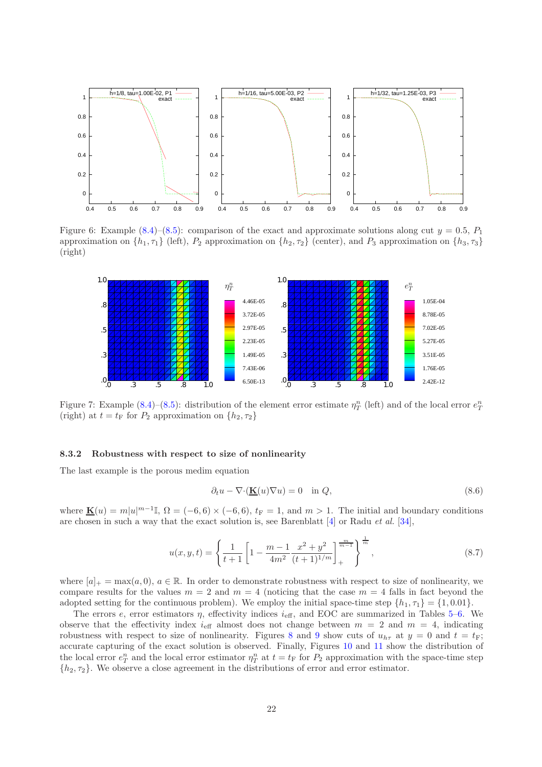

Figure 6: Example  $(8.4)$ – $(8.5)$ : comparison of the exact and approximate solutions along cut  $y = 0.5$ ,  $P_1$ approximation on  $\{h_1, \tau_1\}$  (left),  $P_2$  approximation on  $\{h_2, \tau_2\}$  (center), and  $P_3$  approximation on  $\{h_3, \tau_3\}$ (right)

<span id="page-21-0"></span>

<span id="page-21-1"></span>Figure 7: Example [\(8.4\)](#page-19-2)–[\(8.5\)](#page-19-3): distribution of the element error estimate  $\eta_T^n$  (left) and of the local error  $e_T^n$ (right) at  $t = t_F$  for  $P_2$  approximation on  $\{h_2, \tau_2\}$ 

### 8.3.2 Robustness with respect to size of nonlinearity

The last example is the porous medim equation

<span id="page-21-2"></span>
$$
\partial_t u - \nabla \cdot (\underline{\mathbf{K}}(u)\nabla u) = 0 \quad \text{in } Q,\tag{8.6}
$$

where  $\underline{\mathbf{K}}(u) = m|u|^{m-1}$ ,  $\Omega = (-6, 6) \times (-6, 6)$ ,  $t_F = 1$ , and  $m > 1$ . The initial and boundary conditions are chosen in such a way that the exact solution is, see Barenblatt [\[4\]](#page-22-5) or Radu *et al.* [\[34\]](#page-24-18),

<span id="page-21-3"></span>
$$
u(x,y,t) = \left\{ \frac{1}{t+1} \left[ 1 - \frac{m-1}{4m^2} \frac{x^2 + y^2}{(t+1)^{1/m}} \right]_+^{\frac{m}{m-1}} \right\}^{\frac{1}{m}},
$$
\n(8.7)

where  $[a]_+ = \max(a, 0), a \in \mathbb{R}$ . In order to demonstrate robustness with respect to size of nonlinearity, we compare results for the values  $m = 2$  and  $m = 4$  (noticing that the case  $m = 4$  falls in fact beyond the adopted setting for the continuous problem). We employ the initial space-time step  $\{h_1, \tau_1\} = \{1, 0.01\}$ .

The errors e, error estimators  $\eta$ , effectivity indices  $i_{\text{eff}}$ , and EOC are summarized in Tables [5](#page-20-1)[–6.](#page-20-2) We observe that the effectivity index  $i_{\text{eff}}$  almost does not change between  $m = 2$  and  $m = 4$ , indicating robustness with respect to size of nonlinearity. Figures [8](#page-22-6) and [9](#page-22-7) show cuts of  $u_{h\tau}$  at  $y = 0$  and  $t = t_F$ ; accurate capturing of the exact solution is observed. Finally, Figures [10](#page-23-9) and [11](#page-23-10) show the distribution of the local error  $e_T^n$  and the local error estimator  $\eta_T^n$  at  $t = t_F$  for  $P_2$  approximation with the space-time step  $\{h_2, \tau_2\}$ . We observe a close agreement in the distributions of error and error estimator.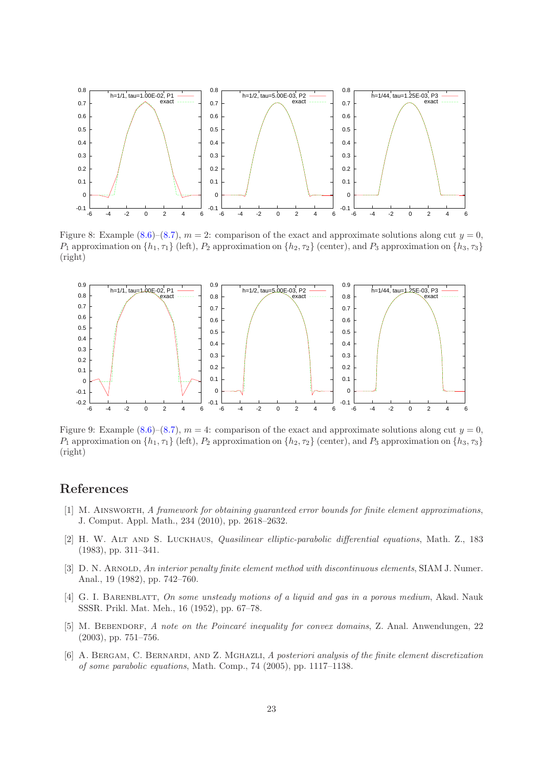

<span id="page-22-6"></span>Figure 8: Example  $(8.6)$ – $(8.7)$ ,  $m = 2$ : comparison of the exact and approximate solutions along cut  $y = 0$ ,  $P_1$  approximation on  $\{h_1, \tau_1\}$  (left),  $P_2$  approximation on  $\{h_2, \tau_2\}$  (center), and  $P_3$  approximation on  $\{h_3, \tau_3\}$ (right)



<span id="page-22-7"></span>Figure 9: Example [\(8.6\)](#page-21-2)–[\(8.7\)](#page-21-3),  $m = 4$ : comparison of the exact and approximate solutions along cut  $y = 0$ , P<sub>1</sub> approximation on  $\{h_1, \tau_1\}$  (left), P<sub>2</sub> approximation on  $\{h_2, \tau_2\}$  (center), and P<sub>3</sub> approximation on  $\{h_3, \tau_3\}$ (right)

### <span id="page-22-1"></span>References

- [1] M. Ainsworth, *A framework for obtaining guaranteed error bounds for finite element approximations*, J. Comput. Appl. Math., 234 (2010), pp. 2618–2632.
- <span id="page-22-2"></span>[2] H. W. Alt and S. Luckhaus, *Quasilinear elliptic-parabolic differential equations*, Math. Z., 183 (1983), pp. 311–341.
- <span id="page-22-4"></span>[3] D. N. ARNOLD, *An interior penalty finite element method with discontinuous elements*, SIAM J. Numer. Anal., 19 (1982), pp. 742–760.
- <span id="page-22-5"></span>[4] G. I. BARENBLATT, *On some unsteady motions of a liquid and gas in a porous medium*, Akad. Nauk SSSR. Prikl. Mat. Meh., 16 (1952), pp. 67–78.
- <span id="page-22-3"></span>[5] M. BEBENDORF, *A note on the Poincaré inequality for convex domains*, Z. Anal. Anwendungen, 22 (2003), pp. 751–756.
- <span id="page-22-0"></span>[6] A. Bergam, C. Bernardi, and Z. Mghazli, *A posteriori analysis of the finite element discretization of some parabolic equations*, Math. Comp., 74 (2005), pp. 1117–1138.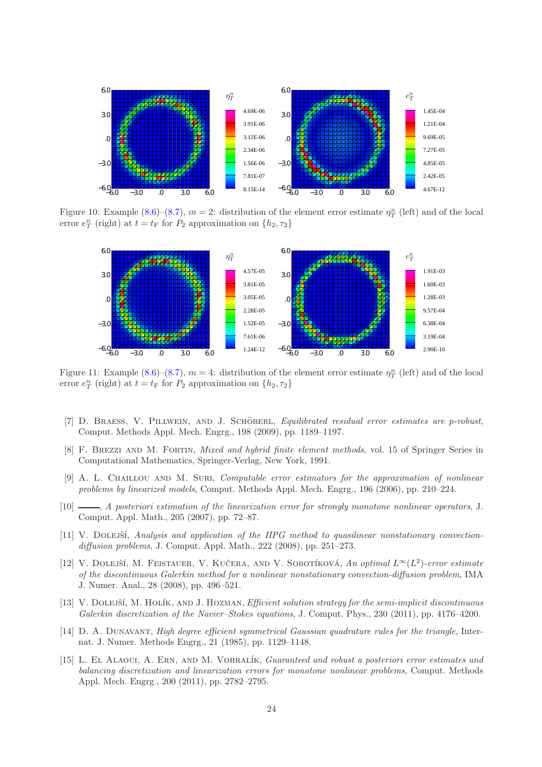

Figure 10: Example [\(8.6\)](#page-21-2)–[\(8.7\)](#page-21-3),  $m = 2$ : distribution of the element error estimate  $\eta_T^n$  (left) and of the local error  $e_T^n$  (right) at  $t = t_F$  for  $P_2$  approximation on  $\{h_2, \tau_2\}$ 

<span id="page-23-9"></span>

<span id="page-23-10"></span>Figure 11: Example [\(8.6\)](#page-21-2)–[\(8.7\)](#page-21-3),  $m = 4$ : distribution of the element error estimate  $\eta_T^n$  (left) and of the local error  $e_T^n$  (right) at  $t = t_F$  for  $P_2$  approximation on  $\{h_2, \tau_2\}$ 

- <span id="page-23-3"></span>[7] D. BRAESS, V. PILLWEIN, AND J. SCHÖBERL, *Equilibrated residual error estimates are p-robust*, Comput. Methods Appl. Mech. Engrg., 198 (2009), pp. 1189–1197.
- <span id="page-23-4"></span>[8] F. BREZZI AND M. FORTIN, *Mixed and hybrid finite element methods*, vol. 15 of Springer Series in Computational Mathematics, Springer-Verlag, New York, 1991.
- <span id="page-23-0"></span>[9] A. L. Chaillou and M. Suri, *Computable error estimators for the approximation of nonlinear problems by linearized models*, Comput. Methods Appl. Mech. Engrg., 196 (2006), pp. 210–224.
- <span id="page-23-1"></span>[10] , *A posteriori estimation of the linearization error for strongly monotone nonlinear operators*, J. Comput. Appl. Math., 205 (2007), pp. 72–87.
- <span id="page-23-5"></span>[11] V. Doletist, *Analysis and application of the IIPG method to quasilinear nonstationary convectiondiffusion problems*, J. Comput. Appl. Math., 222 (2008), pp. 251–273.
- <span id="page-23-8"></span>[12] V. DOLEJŠÍ, M. FEISTAUER, V. KUČERA, AND V. SOBOTÍKOVÁ, *An optimal L*<sup>∞</sup>(L<sup>2</sup>)-error estimate *of the discontinuous Galerkin method for a nonlinear nonstationary convection-diffusion problem*, IMA J. Numer. Anal., 28 (2008), pp. 496–521.
- <span id="page-23-6"></span>[13] V. DOLEJŠÍ, M. HOLÍK, AND J. HOZMAN, *Efficient solution strategy for the semi-implicit discontinuous Galerkin discretization of the Navier–Stokes equations*, J. Comput. Phys., 230 (2011), pp. 4176–4200.
- <span id="page-23-7"></span>[14] D. A. Dunavant, *High degree efficient symmetrical Gaussian quadrature rules for the triangle*, Internat. J. Numer. Methods Engrg., 21 (1985), pp. 1129–1148.
- <span id="page-23-2"></span>[15] L. El Alaoui, A. Ern, and M. Vohral´ık, *Guaranteed and robust a posteriori error estimates and balancing discretization and linearization errors for monotone nonlinear problems*, Comput. Methods Appl. Mech. Engrg., 200 (2011), pp. 2782–2795.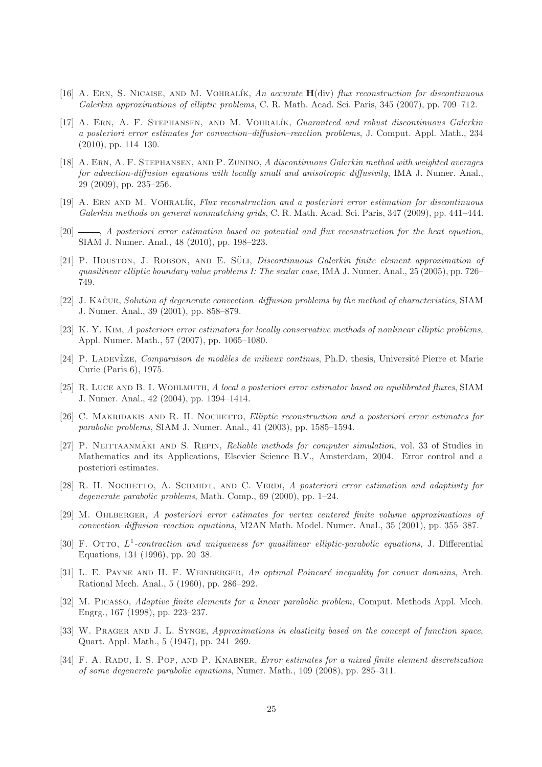- <span id="page-24-14"></span>[16] A. Ern, S. Nicaise, and M. Vohral´ık, *An accurate* H(div) *flux reconstruction for discontinuous Galerkin approximations of elliptic problems*, C. R. Math. Acad. Sci. Paris, 345 (2007), pp. 709–712.
- <span id="page-24-12"></span>[17] A. Ern, A. F. Stephansen, and M. Vohral´ık, *Guaranteed and robust discontinuous Galerkin a posteriori error estimates for convection–diffusion–reaction problems*, J. Comput. Appl. Math., 234 (2010), pp. 114–130.
- <span id="page-24-11"></span>[18] A. Ern, A. F. Stephansen, and P. Zunino, *A discontinuous Galerkin method with weighted averages for advection-diffusion equations with locally small and anisotropic diffusivity*, IMA J. Numer. Anal., 29 (2009), pp. 235–256.
- <span id="page-24-15"></span>[19] A. Ern and M. Vohral´ık, *Flux reconstruction and a posteriori error estimation for discontinuous Galerkin methods on general nonmatching grids*, C. R. Math. Acad. Sci. Paris, 347 (2009), pp. 441–444.
- <span id="page-24-2"></span>[20] , *A posteriori error estimation based on potential and flux reconstruction for the heat equation*, SIAM J. Numer. Anal., 48 (2010), pp. 198–223.
- <span id="page-24-16"></span>[21] P. HOUSTON, J. ROBSON, AND E. SÜLI, *Discontinuous Galerkin finite element approximation of quasilinear elliptic boundary value problems I: The scalar case*, IMA J. Numer. Anal., 25 (2005), pp. 726– 749.
- <span id="page-24-17"></span>[22] J. Kačur, *Solution of degenerate convection–diffusion problems by the method of characteristics*, SIAM J. Numer. Anal., 39 (2001), pp. 858–879.
- <span id="page-24-13"></span>[23] K. Y. Kim, *A posteriori error estimators for locally conservative methods of nonlinear elliptic problems*, Appl. Numer. Math., 57 (2007), pp. 1065–1080.
- <span id="page-24-6"></span>[24] P. Ladev`eze, *Comparaison de mod`eles de milieux continus*, Ph.D. thesis, Universit´e Pierre et Marie Curie (Paris 6), 1975.
- <span id="page-24-8"></span>[25] R. Luce and B. I. Wohlmuth, *A local a posteriori error estimator based on equilibrated fluxes*, SIAM J. Numer. Anal., 42 (2004), pp. 1394–1414.
- <span id="page-24-1"></span>[26] C. Makridakis and R. H. Nochetto, *Elliptic reconstruction and a posteriori error estimates for parabolic problems*, SIAM J. Numer. Anal., 41 (2003), pp. 1585–1594.
- <span id="page-24-7"></span>[27] P. NEITTAANMÄKI AND S. REPIN, *Reliable methods for computer simulation*, vol. 33 of Studies in Mathematics and its Applications, Elsevier Science B.V., Amsterdam, 2004. Error control and a posteriori estimates.
- <span id="page-24-3"></span>[28] R. H. Nochetto, A. Schmidt, and C. Verdi, *A posteriori error estimation and adaptivity for degenerate parabolic problems*, Math. Comp., 69 (2000), pp. 1–24.
- <span id="page-24-4"></span>[29] M. Ohlberger, *A posteriori error estimates for vertex centered finite volume approximations of convection–diffusion–reaction equations*, M2AN Math. Model. Numer. Anal., 35 (2001), pp. 355–387.
- <span id="page-24-9"></span>[30] F. OTTO,  $L^1$ -contraction and uniqueness for quasilinear elliptic-parabolic equations, J. Differential Equations, 131 (1996), pp. 20–38.
- <span id="page-24-10"></span>[31] L. E. PAYNE AND H. F. WEINBERGER, An optimal Poincaré inequality for convex domains, Arch. Rational Mech. Anal., 5 (1960), pp. 286–292.
- <span id="page-24-0"></span>[32] M. Picasso, *Adaptive finite elements for a linear parabolic problem*, Comput. Methods Appl. Mech. Engrg., 167 (1998), pp. 223–237.
- <span id="page-24-5"></span>[33] W. Prager and J. L. Synge, *Approximations in elasticity based on the concept of function space*, Quart. Appl. Math., 5 (1947), pp. 241–269.
- <span id="page-24-18"></span>[34] F. A. Radu, I. S. Pop, and P. Knabner, *Error estimates for a mixed finite element discretization of some degenerate parabolic equations*, Numer. Math., 109 (2008), pp. 285–311.